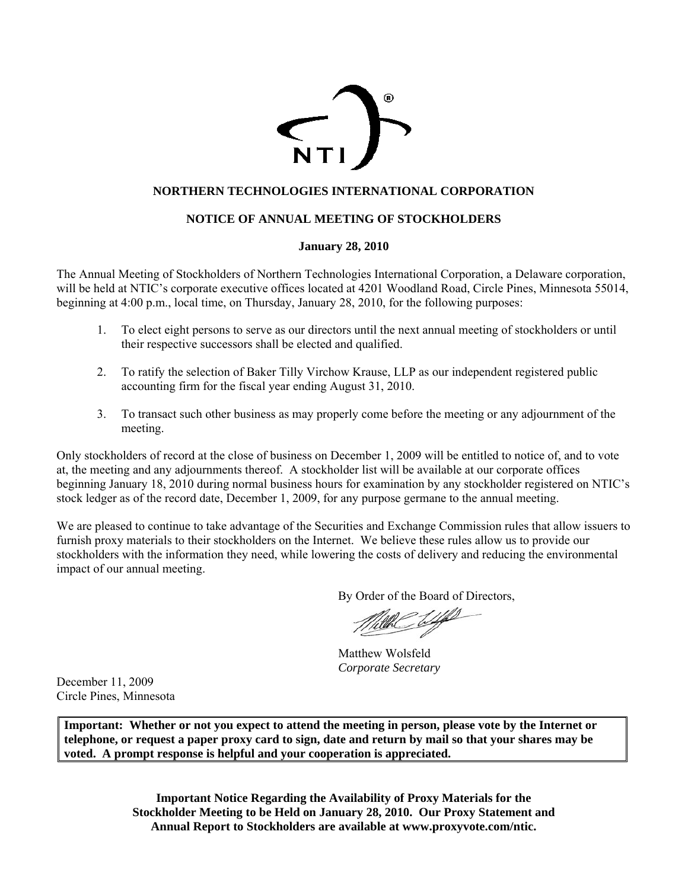

## **NORTHERN TECHNOLOGIES INTERNATIONAL CORPORATION**

## **NOTICE OF ANNUAL MEETING OF STOCKHOLDERS**

#### **January 28, 2010**

The Annual Meeting of Stockholders of Northern Technologies International Corporation, a Delaware corporation, will be held at NTIC's corporate executive offices located at 4201 Woodland Road, Circle Pines, Minnesota 55014, beginning at 4:00 p.m., local time, on Thursday, January 28, 2010, for the following purposes:

- 1. To elect eight persons to serve as our directors until the next annual meeting of stockholders or until their respective successors shall be elected and qualified.
- 2. To ratify the selection of Baker Tilly Virchow Krause, LLP as our independent registered public accounting firm for the fiscal year ending August 31, 2010.
- 3. To transact such other business as may properly come before the meeting or any adjournment of the meeting.

Only stockholders of record at the close of business on December 1, 2009 will be entitled to notice of, and to vote at, the meeting and any adjournments thereof. A stockholder list will be available at our corporate offices beginning January 18, 2010 during normal business hours for examination by any stockholder registered on NTIC's stock ledger as of the record date, December 1, 2009, for any purpose germane to the annual meeting.

We are pleased to continue to take advantage of the Securities and Exchange Commission rules that allow issuers to furnish proxy materials to their stockholders on the Internet. We believe these rules allow us to provide our stockholders with the information they need, while lowering the costs of delivery and reducing the environmental impact of our annual meeting.

By Order of the Board of Directors,

Matthew Wolsfeld *Corporate Secretary*

December 11, 2009 Circle Pines, Minnesota

**Important: Whether or not you expect to attend the meeting in person, please vote by the Internet or telephone, or request a paper proxy card to sign, date and return by mail so that your shares may be voted. A prompt response is helpful and your cooperation is appreciated.**

> **Important Notice Regarding the Availability of Proxy Materials for the Stockholder Meeting to be Held on January 28, 2010. Our Proxy Statement and Annual Report to Stockholders are available at www.proxyvote.com/ntic.**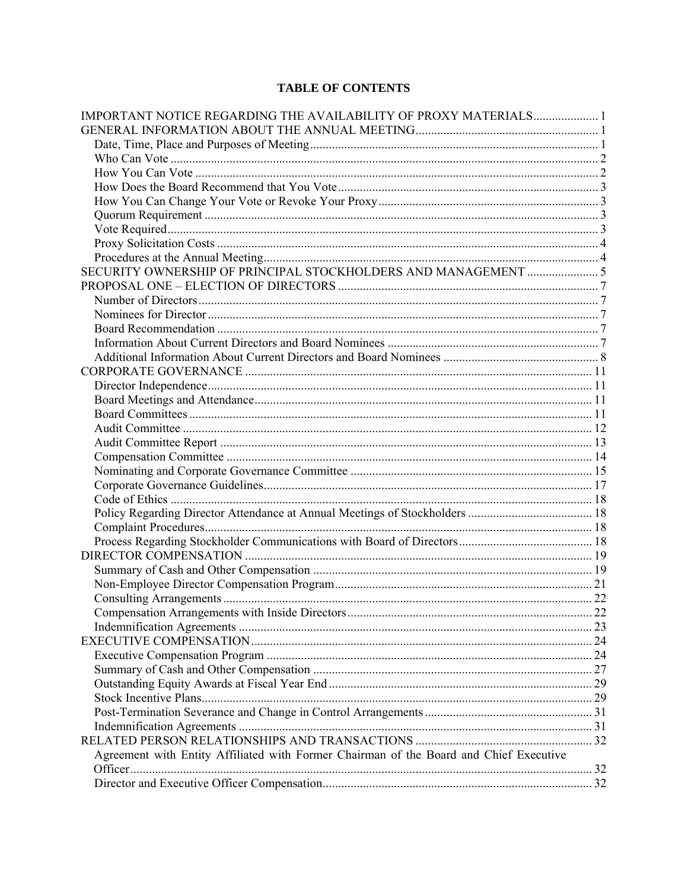# **TABLE OF CONTENTS**

| IMPORTANT NOTICE REGARDING THE AVAILABILITY OF PROXY MATERIALS1                        |  |
|----------------------------------------------------------------------------------------|--|
|                                                                                        |  |
|                                                                                        |  |
|                                                                                        |  |
|                                                                                        |  |
|                                                                                        |  |
|                                                                                        |  |
|                                                                                        |  |
|                                                                                        |  |
|                                                                                        |  |
|                                                                                        |  |
|                                                                                        |  |
|                                                                                        |  |
|                                                                                        |  |
|                                                                                        |  |
|                                                                                        |  |
|                                                                                        |  |
|                                                                                        |  |
|                                                                                        |  |
|                                                                                        |  |
|                                                                                        |  |
|                                                                                        |  |
|                                                                                        |  |
|                                                                                        |  |
|                                                                                        |  |
|                                                                                        |  |
|                                                                                        |  |
|                                                                                        |  |
|                                                                                        |  |
|                                                                                        |  |
|                                                                                        |  |
|                                                                                        |  |
|                                                                                        |  |
|                                                                                        |  |
|                                                                                        |  |
|                                                                                        |  |
|                                                                                        |  |
|                                                                                        |  |
|                                                                                        |  |
|                                                                                        |  |
|                                                                                        |  |
|                                                                                        |  |
|                                                                                        |  |
|                                                                                        |  |
|                                                                                        |  |
| Agreement with Entity Affiliated with Former Chairman of the Board and Chief Executive |  |
|                                                                                        |  |
|                                                                                        |  |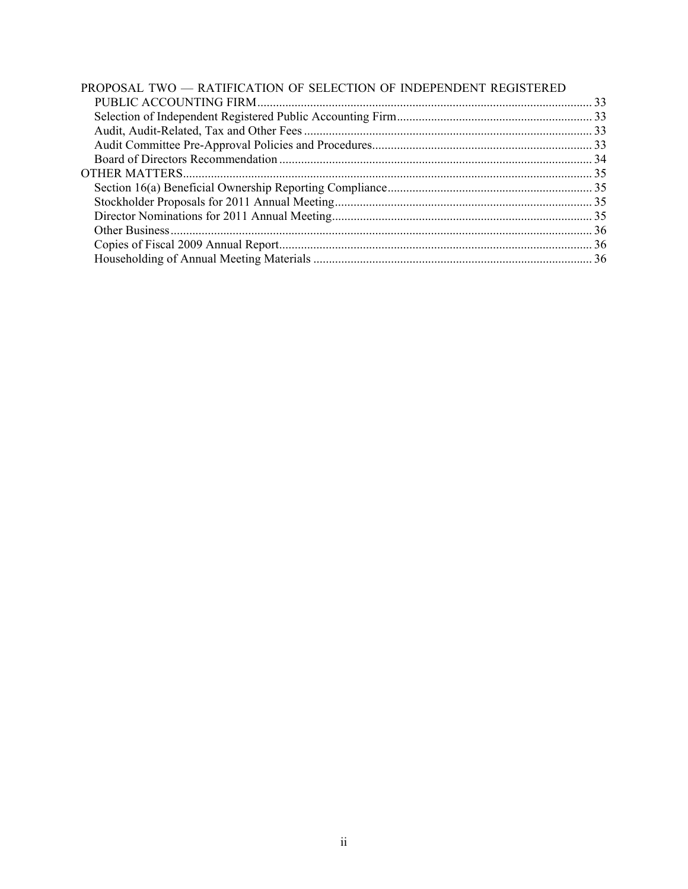| PROPOSAL TWO - RATIFICATION OF SELECTION OF INDEPENDENT REGISTERED |  |
|--------------------------------------------------------------------|--|
|                                                                    |  |
|                                                                    |  |
|                                                                    |  |
|                                                                    |  |
|                                                                    |  |
|                                                                    |  |
|                                                                    |  |
|                                                                    |  |
|                                                                    |  |
|                                                                    |  |
|                                                                    |  |
|                                                                    |  |
|                                                                    |  |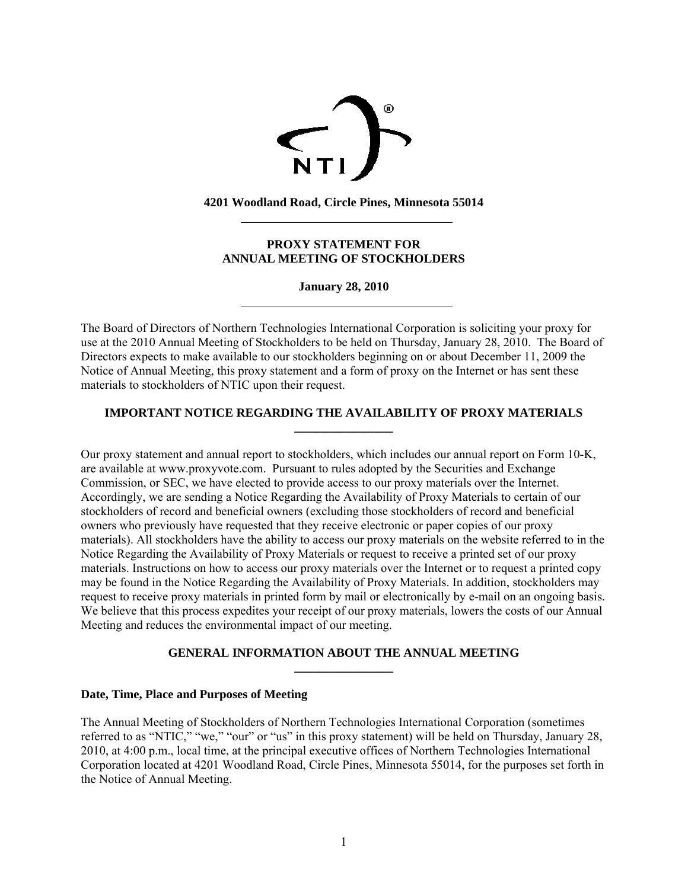

**4201 Woodland Road, Circle Pines, Minnesota 55014** 

 $\overline{a}$ 

 $\overline{a}$ 

## **PROXY STATEMENT FOR ANNUAL MEETING OF STOCKHOLDERS**

**January 28, 2010** 

The Board of Directors of Northern Technologies International Corporation is soliciting your proxy for use at the 2010 Annual Meeting of Stockholders to be held on Thursday, January 28, 2010. The Board of Directors expects to make available to our stockholders beginning on or about December 11, 2009 the Notice of Annual Meeting, this proxy statement and a form of proxy on the Internet or has sent these materials to stockholders of NTIC upon their request.

## **IMPORTANT NOTICE REGARDING THE AVAILABILITY OF PROXY MATERIALS \_\_\_\_\_\_\_\_\_\_\_\_\_\_\_\_**

Our proxy statement and annual report to stockholders, which includes our annual report on Form 10-K, are available at www.proxyvote.com. Pursuant to rules adopted by the Securities and Exchange Commission, or SEC, we have elected to provide access to our proxy materials over the Internet. Accordingly, we are sending a Notice Regarding the Availability of Proxy Materials to certain of our stockholders of record and beneficial owners (excluding those stockholders of record and beneficial owners who previously have requested that they receive electronic or paper copies of our proxy materials). All stockholders have the ability to access our proxy materials on the website referred to in the Notice Regarding the Availability of Proxy Materials or request to receive a printed set of our proxy materials. Instructions on how to access our proxy materials over the Internet or to request a printed copy may be found in the Notice Regarding the Availability of Proxy Materials. In addition, stockholders may request to receive proxy materials in printed form by mail or electronically by e-mail on an ongoing basis. We believe that this process expedites your receipt of our proxy materials, lowers the costs of our Annual Meeting and reduces the environmental impact of our meeting.

## **GENERAL INFORMATION ABOUT THE ANNUAL MEETING**

**\_\_\_\_\_\_\_\_\_\_\_\_\_\_\_\_** 

## **Date, Time, Place and Purposes of Meeting**

The Annual Meeting of Stockholders of Northern Technologies International Corporation (sometimes referred to as "NTIC," "we," "our" or "us" in this proxy statement) will be held on Thursday, January 28, 2010, at 4:00 p.m., local time, at the principal executive offices of Northern Technologies International Corporation located at 4201 Woodland Road, Circle Pines, Minnesota 55014, for the purposes set forth in the Notice of Annual Meeting.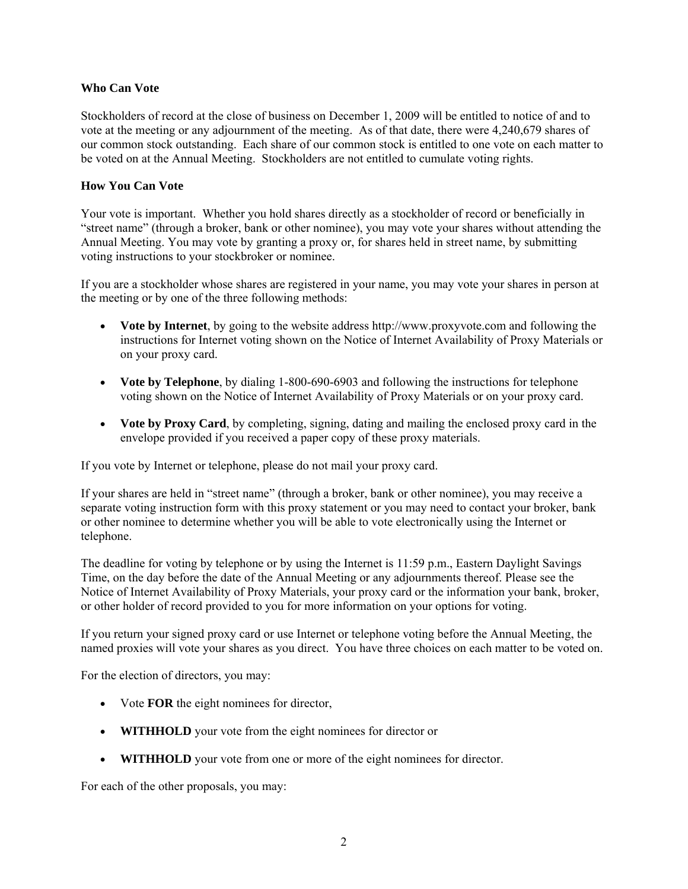## **Who Can Vote**

Stockholders of record at the close of business on December 1, 2009 will be entitled to notice of and to vote at the meeting or any adjournment of the meeting. As of that date, there were 4,240,679 shares of our common stock outstanding. Each share of our common stock is entitled to one vote on each matter to be voted on at the Annual Meeting. Stockholders are not entitled to cumulate voting rights.

## **How You Can Vote**

Your vote is important. Whether you hold shares directly as a stockholder of record or beneficially in "street name" (through a broker, bank or other nominee), you may vote your shares without attending the Annual Meeting. You may vote by granting a proxy or, for shares held in street name, by submitting voting instructions to your stockbroker or nominee.

If you are a stockholder whose shares are registered in your name, you may vote your shares in person at the meeting or by one of the three following methods:

- **Vote by Internet**, by going to the website address http://www.proxyvote.com and following the instructions for Internet voting shown on the Notice of Internet Availability of Proxy Materials or on your proxy card.
- **Vote by Telephone**, by dialing 1-800-690-6903 and following the instructions for telephone voting shown on the Notice of Internet Availability of Proxy Materials or on your proxy card.
- **Vote by Proxy Card**, by completing, signing, dating and mailing the enclosed proxy card in the envelope provided if you received a paper copy of these proxy materials.

If you vote by Internet or telephone, please do not mail your proxy card.

If your shares are held in "street name" (through a broker, bank or other nominee), you may receive a separate voting instruction form with this proxy statement or you may need to contact your broker, bank or other nominee to determine whether you will be able to vote electronically using the Internet or telephone.

The deadline for voting by telephone or by using the Internet is 11:59 p.m., Eastern Daylight Savings Time, on the day before the date of the Annual Meeting or any adjournments thereof. Please see the Notice of Internet Availability of Proxy Materials, your proxy card or the information your bank, broker, or other holder of record provided to you for more information on your options for voting.

If you return your signed proxy card or use Internet or telephone voting before the Annual Meeting, the named proxies will vote your shares as you direct. You have three choices on each matter to be voted on.

For the election of directors, you may:

- Vote **FOR** the eight nominees for director,
- **WITHHOLD** your vote from the eight nominees for director or
- **WITHHOLD** your vote from one or more of the eight nominees for director.

For each of the other proposals, you may: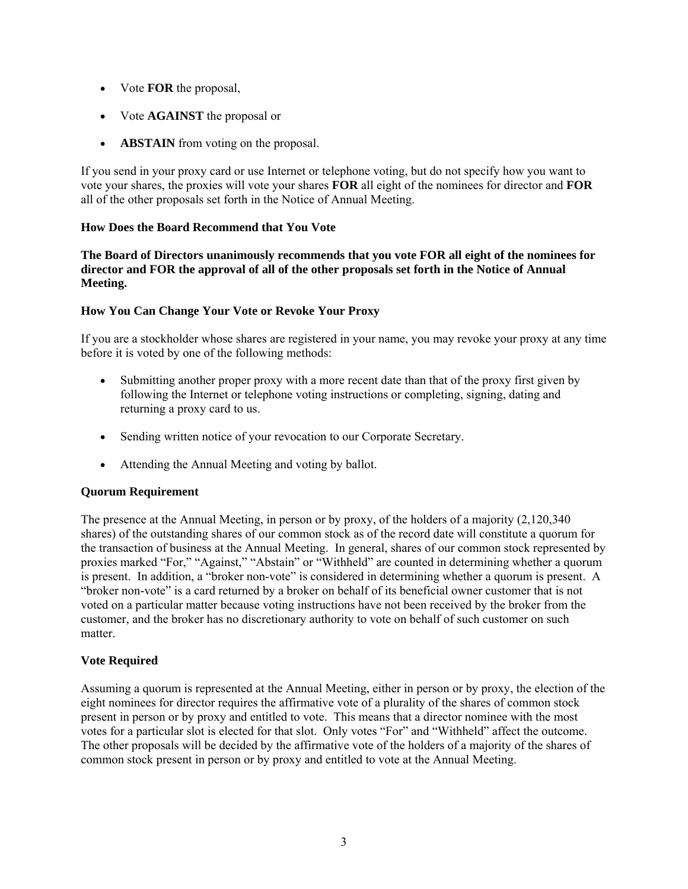- Vote **FOR** the proposal,
- Vote **AGAINST** the proposal or
- **ABSTAIN** from voting on the proposal.

If you send in your proxy card or use Internet or telephone voting, but do not specify how you want to vote your shares, the proxies will vote your shares **FOR** all eight of the nominees for director and **FOR** all of the other proposals set forth in the Notice of Annual Meeting.

## **How Does the Board Recommend that You Vote**

**The Board of Directors unanimously recommends that you vote FOR all eight of the nominees for director and FOR the approval of all of the other proposals set forth in the Notice of Annual Meeting.** 

## **How You Can Change Your Vote or Revoke Your Proxy**

If you are a stockholder whose shares are registered in your name, you may revoke your proxy at any time before it is voted by one of the following methods:

- Submitting another proper proxy with a more recent date than that of the proxy first given by following the Internet or telephone voting instructions or completing, signing, dating and returning a proxy card to us.
- Sending written notice of your revocation to our Corporate Secretary.
- Attending the Annual Meeting and voting by ballot.

## **Quorum Requirement**

The presence at the Annual Meeting, in person or by proxy, of the holders of a majority (2,120,340 shares) of the outstanding shares of our common stock as of the record date will constitute a quorum for the transaction of business at the Annual Meeting. In general, shares of our common stock represented by proxies marked "For," "Against," "Abstain" or "Withheld" are counted in determining whether a quorum is present. In addition, a "broker non-vote" is considered in determining whether a quorum is present. A "broker non-vote" is a card returned by a broker on behalf of its beneficial owner customer that is not voted on a particular matter because voting instructions have not been received by the broker from the customer, and the broker has no discretionary authority to vote on behalf of such customer on such matter

## **Vote Required**

Assuming a quorum is represented at the Annual Meeting, either in person or by proxy, the election of the eight nominees for director requires the affirmative vote of a plurality of the shares of common stock present in person or by proxy and entitled to vote. This means that a director nominee with the most votes for a particular slot is elected for that slot. Only votes "For" and "Withheld" affect the outcome. The other proposals will be decided by the affirmative vote of the holders of a majority of the shares of common stock present in person or by proxy and entitled to vote at the Annual Meeting.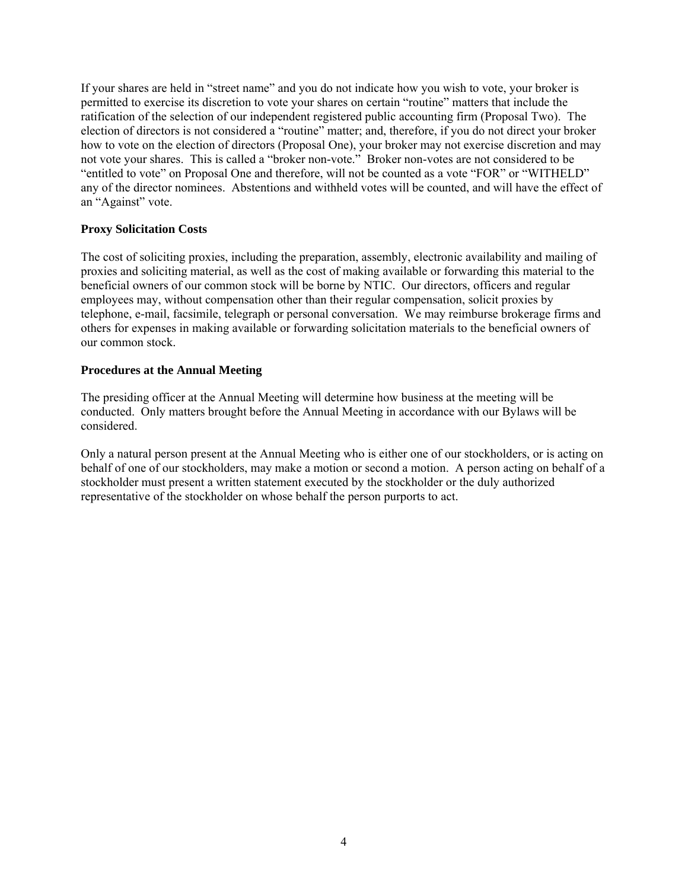If your shares are held in "street name" and you do not indicate how you wish to vote, your broker is permitted to exercise its discretion to vote your shares on certain "routine" matters that include the ratification of the selection of our independent registered public accounting firm (Proposal Two). The election of directors is not considered a "routine" matter; and, therefore, if you do not direct your broker how to vote on the election of directors (Proposal One), your broker may not exercise discretion and may not vote your shares. This is called a "broker non-vote." Broker non-votes are not considered to be "entitled to vote" on Proposal One and therefore, will not be counted as a vote "FOR" or "WITHELD" any of the director nominees. Abstentions and withheld votes will be counted, and will have the effect of an "Against" vote.

## **Proxy Solicitation Costs**

The cost of soliciting proxies, including the preparation, assembly, electronic availability and mailing of proxies and soliciting material, as well as the cost of making available or forwarding this material to the beneficial owners of our common stock will be borne by NTIC. Our directors, officers and regular employees may, without compensation other than their regular compensation, solicit proxies by telephone, e-mail, facsimile, telegraph or personal conversation. We may reimburse brokerage firms and others for expenses in making available or forwarding solicitation materials to the beneficial owners of our common stock.

## **Procedures at the Annual Meeting**

The presiding officer at the Annual Meeting will determine how business at the meeting will be conducted. Only matters brought before the Annual Meeting in accordance with our Bylaws will be considered.

Only a natural person present at the Annual Meeting who is either one of our stockholders, or is acting on behalf of one of our stockholders, may make a motion or second a motion. A person acting on behalf of a stockholder must present a written statement executed by the stockholder or the duly authorized representative of the stockholder on whose behalf the person purports to act.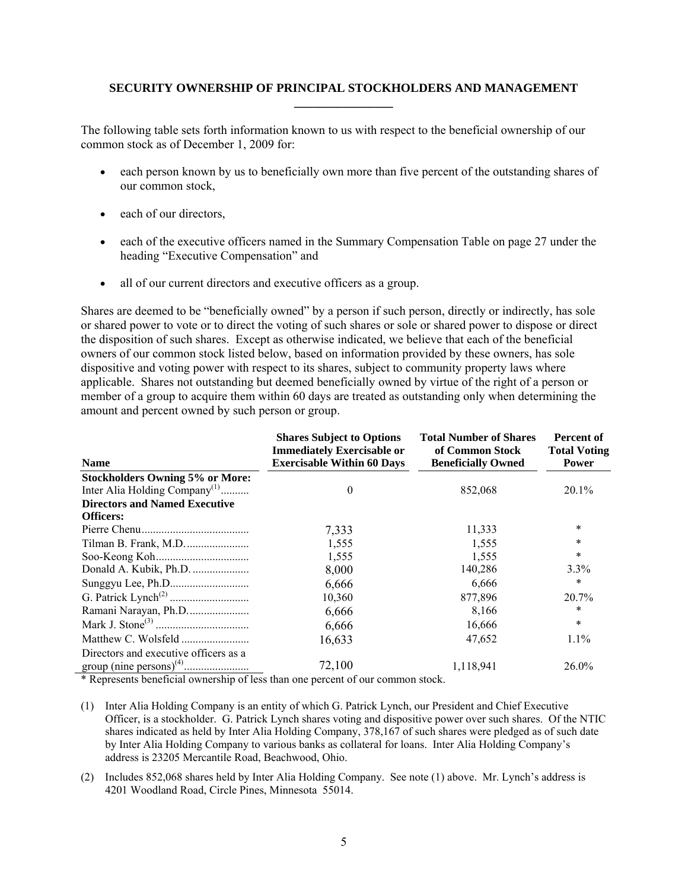## **SECURITY OWNERSHIP OF PRINCIPAL STOCKHOLDERS AND MANAGEMENT \_\_\_\_\_\_\_\_\_\_\_\_\_\_\_\_**

The following table sets forth information known to us with respect to the beneficial ownership of our common stock as of December 1, 2009 for:

- each person known by us to beneficially own more than five percent of the outstanding shares of our common stock,
- each of our directors,
- each of the executive officers named in the Summary Compensation Table on page 27 under the heading "Executive Compensation" and
- all of our current directors and executive officers as a group.

Shares are deemed to be "beneficially owned" by a person if such person, directly or indirectly, has sole or shared power to vote or to direct the voting of such shares or sole or shared power to dispose or direct the disposition of such shares. Except as otherwise indicated, we believe that each of the beneficial owners of our common stock listed below, based on information provided by these owners, has sole dispositive and voting power with respect to its shares, subject to community property laws where applicable. Shares not outstanding but deemed beneficially owned by virtue of the right of a person or member of a group to acquire them within 60 days are treated as outstanding only when determining the amount and percent owned by such person or group.

| <b>Name</b>                                                           | <b>Shares Subject to Options</b><br><b>Immediately Exercisable or</b><br><b>Exercisable Within 60 Days</b> | <b>Total Number of Shares</b><br>of Common Stock<br><b>Beneficially Owned</b> | Percent of<br><b>Total Voting</b><br><b>Power</b> |
|-----------------------------------------------------------------------|------------------------------------------------------------------------------------------------------------|-------------------------------------------------------------------------------|---------------------------------------------------|
| <b>Stockholders Owning 5% or More:</b>                                |                                                                                                            |                                                                               |                                                   |
| Inter Alia Holding Company <sup>(1)</sup>                             | 0                                                                                                          | 852,068                                                                       | 20.1%                                             |
| <b>Directors and Named Executive</b>                                  |                                                                                                            |                                                                               |                                                   |
| <b>Officers:</b>                                                      |                                                                                                            |                                                                               |                                                   |
|                                                                       | 7,333                                                                                                      | 11,333                                                                        | *                                                 |
|                                                                       | 1,555                                                                                                      | 1,555                                                                         | $\ast$                                            |
|                                                                       | 1,555                                                                                                      | 1,555                                                                         | $\ast$                                            |
|                                                                       | 8,000                                                                                                      | 140,286                                                                       | 3.3%                                              |
|                                                                       | 6,666                                                                                                      | 6,666                                                                         | $\ast$                                            |
|                                                                       | 10,360                                                                                                     | 877,896                                                                       | 20.7%                                             |
|                                                                       | 6,666                                                                                                      | 8,166                                                                         | *                                                 |
|                                                                       | 6,666                                                                                                      | 16,666                                                                        | $\ast$                                            |
|                                                                       | 16,633                                                                                                     | 47,652                                                                        | 1.1%                                              |
| Directors and executive officers as a                                 |                                                                                                            |                                                                               |                                                   |
|                                                                       | 72,100                                                                                                     | 1,118,941                                                                     | 26.0%                                             |
| $\star$ n $\star$ 1 $\sim$ 1 $\star$ 01 $\star$ 1 $\star$ 0 $\star$ 1 |                                                                                                            |                                                                               |                                                   |

\* Represents beneficial ownership of less than one percent of our common stock.

- (1) Inter Alia Holding Company is an entity of which G. Patrick Lynch, our President and Chief Executive Officer, is a stockholder. G. Patrick Lynch shares voting and dispositive power over such shares. Of the NTIC shares indicated as held by Inter Alia Holding Company, 378,167 of such shares were pledged as of such date by Inter Alia Holding Company to various banks as collateral for loans. Inter Alia Holding Company's address is 23205 Mercantile Road, Beachwood, Ohio.
- (2) Includes 852,068 shares held by Inter Alia Holding Company. See note (1) above. Mr. Lynch's address is 4201 Woodland Road, Circle Pines, Minnesota 55014.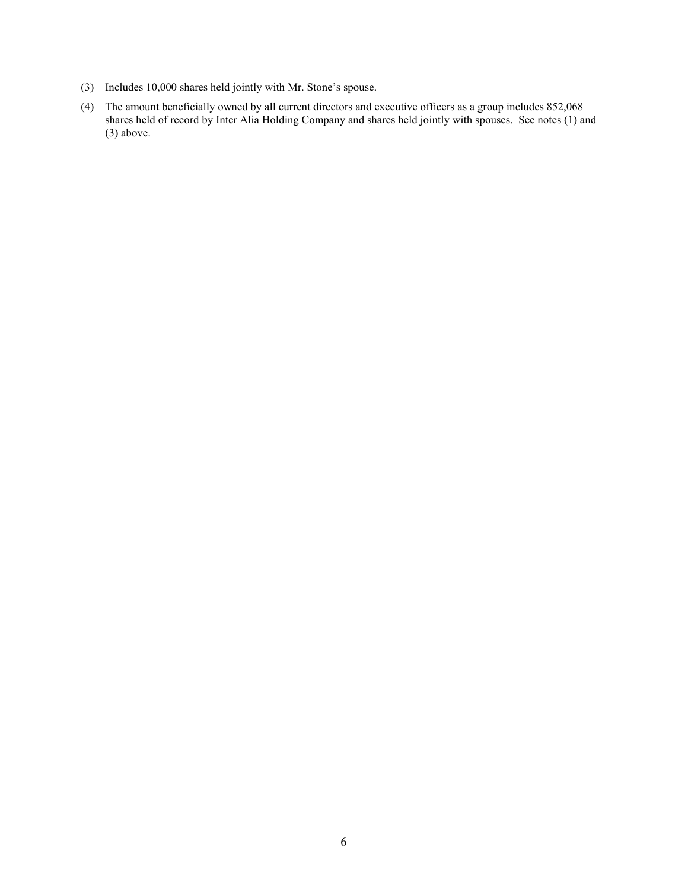- (3) Includes 10,000 shares held jointly with Mr. Stone's spouse.
- (4) The amount beneficially owned by all current directors and executive officers as a group includes 852,068 shares held of record by Inter Alia Holding Company and shares held jointly with spouses. See notes (1) and (3) above.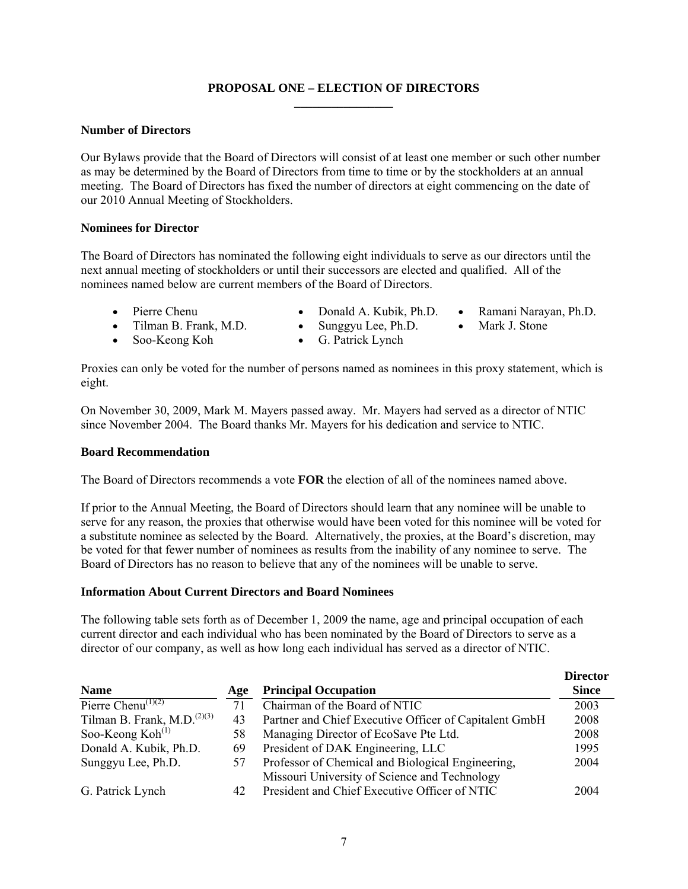## **PROPOSAL ONE – ELECTION OF DIRECTORS \_\_\_\_\_\_\_\_\_\_\_\_\_\_\_\_**

## **Number of Directors**

Our Bylaws provide that the Board of Directors will consist of at least one member or such other number as may be determined by the Board of Directors from time to time or by the stockholders at an annual meeting. The Board of Directors has fixed the number of directors at eight commencing on the date of our 2010 Annual Meeting of Stockholders.

#### **Nominees for Director**

The Board of Directors has nominated the following eight individuals to serve as our directors until the next annual meeting of stockholders or until their successors are elected and qualified. All of the nominees named below are current members of the Board of Directors.

- 
- Pierre Chenu Donald A. Kubik, Ph.D. Ramani Narayan, Ph.D.
	-
- 
- Soo-Keong Koh G. Patrick Lynch
- Tilman B. Frank, M.D. Sunggyu Lee, Ph.D. Mark J. Stone

Proxies can only be voted for the number of persons named as nominees in this proxy statement, which is eight.

On November 30, 2009, Mark M. Mayers passed away. Mr. Mayers had served as a director of NTIC since November 2004. The Board thanks Mr. Mayers for his dedication and service to NTIC.

#### **Board Recommendation**

The Board of Directors recommends a vote **FOR** the election of all of the nominees named above.

If prior to the Annual Meeting, the Board of Directors should learn that any nominee will be unable to serve for any reason, the proxies that otherwise would have been voted for this nominee will be voted for a substitute nominee as selected by the Board. Alternatively, the proxies, at the Board's discretion, may be voted for that fewer number of nominees as results from the inability of any nominee to serve. The Board of Directors has no reason to believe that any of the nominees will be unable to serve.

## **Information About Current Directors and Board Nominees**

The following table sets forth as of December 1, 2009 the name, age and principal occupation of each current director and each individual who has been nominated by the Board of Directors to serve as a director of our company, as well as how long each individual has served as a director of NTIC.

| <b>Name</b>                                          | Age | <b>Principal Occupation</b>                            | <b>Director</b><br><b>Since</b> |
|------------------------------------------------------|-----|--------------------------------------------------------|---------------------------------|
| Pierre Chenu <sup>(1)(2)</sup>                       | 71  | Chairman of the Board of NTIC                          | 2003                            |
| Tilman B. Frank, M.D. <sup><math>(2)(3)</math></sup> | 43  | Partner and Chief Executive Officer of Capitalent GmbH | 2008                            |
| Soo-Keong $Koh(1)$                                   | 58  | Managing Director of EcoSave Pte Ltd.                  | 2008                            |
| Donald A. Kubik, Ph.D.                               | 69  | President of DAK Engineering, LLC                      | 1995                            |
| Sunggyu Lee, Ph.D.                                   | 57  | Professor of Chemical and Biological Engineering,      | 2004                            |
|                                                      |     | Missouri University of Science and Technology          |                                 |
| G. Patrick Lynch                                     | 42  | President and Chief Executive Officer of NTIC          | 2004                            |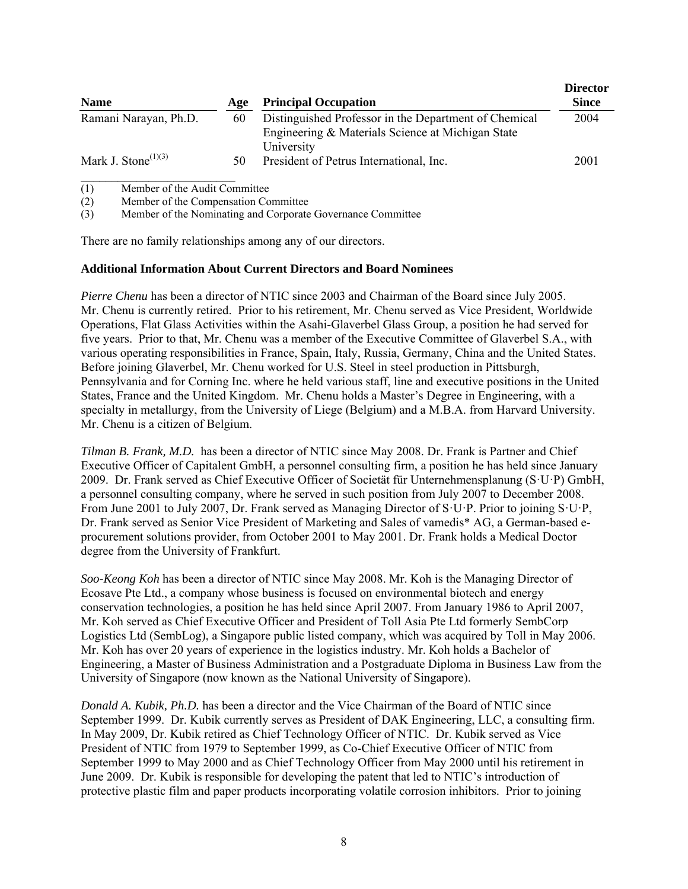| <b>Name</b>                                  | Age | <b>Principal Occupation</b>                                                                                              | <b>Director</b><br><b>Since</b> |
|----------------------------------------------|-----|--------------------------------------------------------------------------------------------------------------------------|---------------------------------|
| Ramani Narayan, Ph.D.                        | 60  | Distinguished Professor in the Department of Chemical<br>Engineering & Materials Science at Michigan State<br>University | 2004                            |
| Mark J. Stone <sup><math>(1)(3)</math></sup> | 50  | President of Petrus International, Inc.                                                                                  | 2001                            |

(1) Member of the Audit Committee

(2) Member of the Compensation Committee

(3) Member of the Nominating and Corporate Governance Committee

There are no family relationships among any of our directors.

## **Additional Information About Current Directors and Board Nominees**

*Pierre Chenu* has been a director of NTIC since 2003 and Chairman of the Board since July 2005. Mr. Chenu is currently retired. Prior to his retirement, Mr. Chenu served as Vice President, Worldwide Operations, Flat Glass Activities within the Asahi-Glaverbel Glass Group, a position he had served for five years. Prior to that, Mr. Chenu was a member of the Executive Committee of Glaverbel S.A., with various operating responsibilities in France, Spain, Italy, Russia, Germany, China and the United States. Before joining Glaverbel, Mr. Chenu worked for U.S. Steel in steel production in Pittsburgh, Pennsylvania and for Corning Inc. where he held various staff, line and executive positions in the United States, France and the United Kingdom. Mr. Chenu holds a Master's Degree in Engineering, with a specialty in metallurgy, from the University of Liege (Belgium) and a M.B.A. from Harvard University. Mr. Chenu is a citizen of Belgium.

*Tilman B. Frank, M.D.* has been a director of NTIC since May 2008. Dr. Frank is Partner and Chief Executive Officer of Capitalent GmbH, a personnel consulting firm, a position he has held since January 2009. Dr. Frank served as Chief Executive Officer of Societät für Unternehmensplanung (S·U·P) GmbH, a personnel consulting company, where he served in such position from July 2007 to December 2008. From June 2001 to July 2007, Dr. Frank served as Managing Director of S·U·P. Prior to joining S·U·P, Dr. Frank served as Senior Vice President of Marketing and Sales of vamedis\* AG, a German-based eprocurement solutions provider, from October 2001 to May 2001. Dr. Frank holds a Medical Doctor degree from the University of Frankfurt.

*Soo-Keong Koh* has been a director of NTIC since May 2008. Mr. Koh is the Managing Director of Ecosave Pte Ltd., a company whose business is focused on environmental biotech and energy conservation technologies, a position he has held since April 2007. From January 1986 to April 2007, Mr. Koh served as Chief Executive Officer and President of Toll Asia Pte Ltd formerly SembCorp Logistics Ltd (SembLog), a Singapore public listed company, which was acquired by Toll in May 2006. Mr. Koh has over 20 years of experience in the logistics industry. Mr. Koh holds a Bachelor of Engineering, a Master of Business Administration and a Postgraduate Diploma in Business Law from the University of Singapore (now known as the National University of Singapore).

*Donald A. Kubik, Ph.D.* has been a director and the Vice Chairman of the Board of NTIC since September 1999. Dr. Kubik currently serves as President of DAK Engineering, LLC, a consulting firm. In May 2009, Dr. Kubik retired as Chief Technology Officer of NTIC. Dr. Kubik served as Vice President of NTIC from 1979 to September 1999, as Co-Chief Executive Officer of NTIC from September 1999 to May 2000 and as Chief Technology Officer from May 2000 until his retirement in June 2009. Dr. Kubik is responsible for developing the patent that led to NTIC's introduction of protective plastic film and paper products incorporating volatile corrosion inhibitors. Prior to joining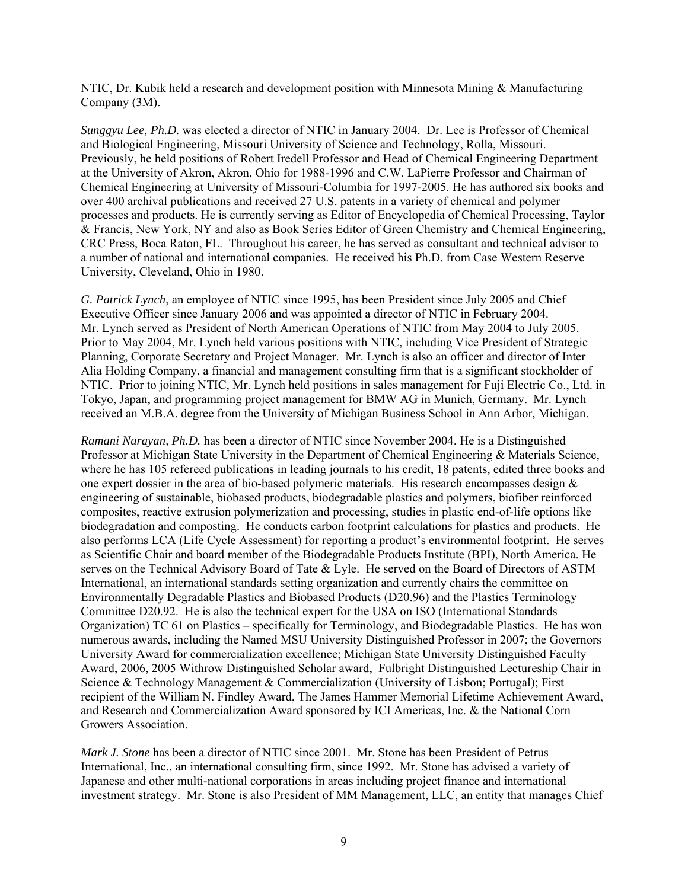NTIC, Dr. Kubik held a research and development position with Minnesota Mining & Manufacturing Company (3M).

*Sunggyu Lee, Ph.D.* was elected a director of NTIC in January 2004. Dr. Lee is Professor of Chemical and Biological Engineering, Missouri University of Science and Technology, Rolla, Missouri. Previously, he held positions of Robert Iredell Professor and Head of Chemical Engineering Department at the University of Akron, Akron, Ohio for 1988-1996 and C.W. LaPierre Professor and Chairman of Chemical Engineering at University of Missouri-Columbia for 1997-2005. He has authored six books and over 400 archival publications and received 27 U.S. patents in a variety of chemical and polymer processes and products. He is currently serving as Editor of Encyclopedia of Chemical Processing, Taylor & Francis, New York, NY and also as Book Series Editor of Green Chemistry and Chemical Engineering, CRC Press, Boca Raton, FL. Throughout his career, he has served as consultant and technical advisor to a number of national and international companies. He received his Ph.D. from Case Western Reserve University, Cleveland, Ohio in 1980.

*G. Patrick Lynch*, an employee of NTIC since 1995, has been President since July 2005 and Chief Executive Officer since January 2006 and was appointed a director of NTIC in February 2004. Mr. Lynch served as President of North American Operations of NTIC from May 2004 to July 2005. Prior to May 2004, Mr. Lynch held various positions with NTIC, including Vice President of Strategic Planning, Corporate Secretary and Project Manager. Mr. Lynch is also an officer and director of Inter Alia Holding Company, a financial and management consulting firm that is a significant stockholder of NTIC. Prior to joining NTIC, Mr. Lynch held positions in sales management for Fuji Electric Co., Ltd. in Tokyo, Japan, and programming project management for BMW AG in Munich, Germany. Mr. Lynch received an M.B.A. degree from the University of Michigan Business School in Ann Arbor, Michigan.

*Ramani Narayan, Ph.D.* has been a director of NTIC since November 2004. He is a Distinguished Professor at Michigan State University in the Department of Chemical Engineering & Materials Science, where he has 105 refereed publications in leading journals to his credit, 18 patents, edited three books and one expert dossier in the area of bio-based polymeric materials. His research encompasses design & engineering of sustainable, biobased products, biodegradable plastics and polymers, biofiber reinforced composites, reactive extrusion polymerization and processing, studies in plastic end-of-life options like biodegradation and composting. He conducts carbon footprint calculations for plastics and products. He also performs LCA (Life Cycle Assessment) for reporting a product's environmental footprint. He serves as Scientific Chair and board member of the Biodegradable Products Institute (BPI), North America. He serves on the Technical Advisory Board of Tate & Lyle. He served on the Board of Directors of ASTM International, an international standards setting organization and currently chairs the committee on Environmentally Degradable Plastics and Biobased Products (D20.96) and the Plastics Terminology Committee D20.92. He is also the technical expert for the USA on ISO (International Standards Organization) TC 61 on Plastics – specifically for Terminology, and Biodegradable Plastics. He has won numerous awards, including the Named MSU University Distinguished Professor in 2007; the Governors University Award for commercialization excellence; Michigan State University Distinguished Faculty Award, 2006, 2005 Withrow Distinguished Scholar award, Fulbright Distinguished Lectureship Chair in Science & Technology Management & Commercialization (University of Lisbon; Portugal); First recipient of the William N. Findley Award, The James Hammer Memorial Lifetime Achievement Award, and Research and Commercialization Award sponsored by ICI Americas, Inc. & the National Corn Growers Association.

*Mark J. Stone* has been a director of NTIC since 2001. Mr. Stone has been President of Petrus International, Inc., an international consulting firm, since 1992. Mr. Stone has advised a variety of Japanese and other multi-national corporations in areas including project finance and international investment strategy. Mr. Stone is also President of MM Management, LLC, an entity that manages Chief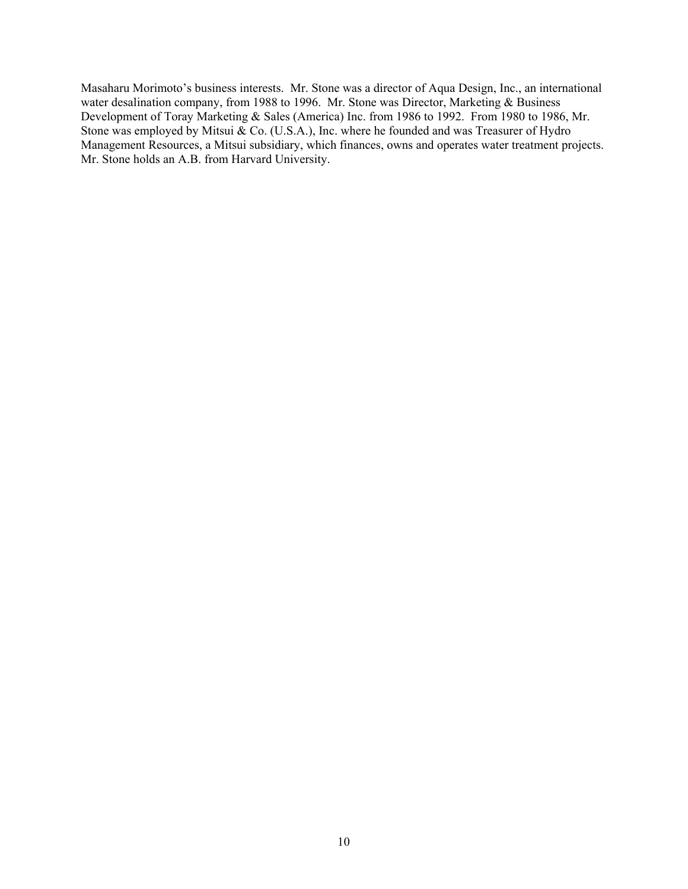Masaharu Morimoto's business interests. Mr. Stone was a director of Aqua Design, Inc., an international water desalination company, from 1988 to 1996. Mr. Stone was Director, Marketing & Business Development of Toray Marketing & Sales (America) Inc. from 1986 to 1992. From 1980 to 1986, Mr. Stone was employed by Mitsui  $\&$  Co. (U.S.A.), Inc. where he founded and was Treasurer of Hydro Management Resources, a Mitsui subsidiary, which finances, owns and operates water treatment projects. Mr. Stone holds an A.B. from Harvard University.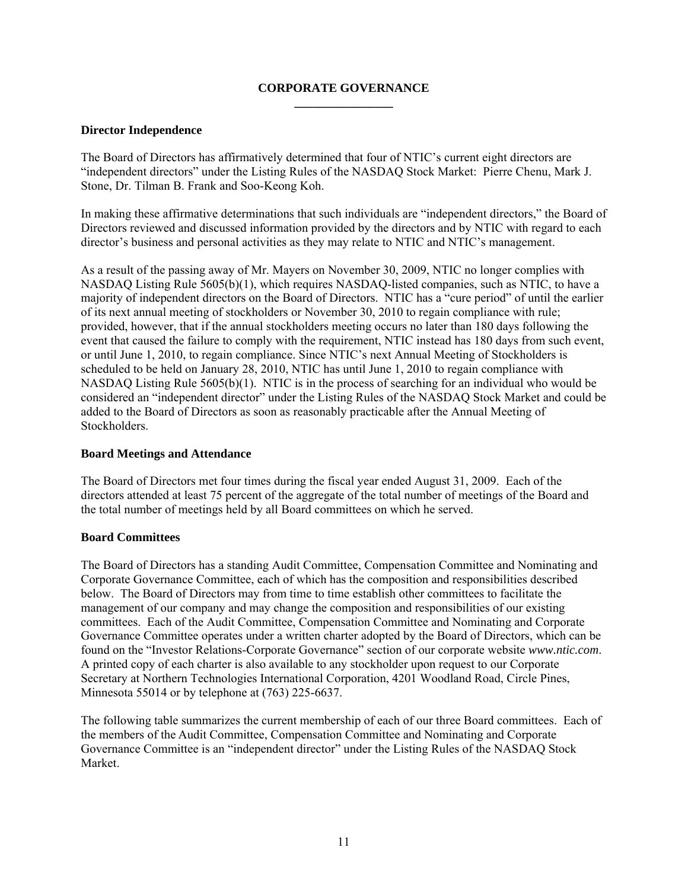## **CORPORATE GOVERNANCE \_\_\_\_\_\_\_\_\_\_\_\_\_\_\_\_**

## **Director Independence**

The Board of Directors has affirmatively determined that four of NTIC's current eight directors are "independent directors" under the Listing Rules of the NASDAQ Stock Market: Pierre Chenu, Mark J. Stone, Dr. Tilman B. Frank and Soo-Keong Koh.

In making these affirmative determinations that such individuals are "independent directors," the Board of Directors reviewed and discussed information provided by the directors and by NTIC with regard to each director's business and personal activities as they may relate to NTIC and NTIC's management.

As a result of the passing away of Mr. Mayers on November 30, 2009, NTIC no longer complies with NASDAQ Listing Rule 5605(b)(1), which requires NASDAQ-listed companies, such as NTIC, to have a majority of independent directors on the Board of Directors. NTIC has a "cure period" of until the earlier of its next annual meeting of stockholders or November 30, 2010 to regain compliance with rule; provided, however, that if the annual stockholders meeting occurs no later than 180 days following the event that caused the failure to comply with the requirement, NTIC instead has 180 days from such event, or until June 1, 2010, to regain compliance. Since NTIC's next Annual Meeting of Stockholders is scheduled to be held on January 28, 2010, NTIC has until June 1, 2010 to regain compliance with NASDAQ Listing Rule 5605(b)(1). NTIC is in the process of searching for an individual who would be considered an "independent director" under the Listing Rules of the NASDAQ Stock Market and could be added to the Board of Directors as soon as reasonably practicable after the Annual Meeting of Stockholders.

## **Board Meetings and Attendance**

The Board of Directors met four times during the fiscal year ended August 31, 2009. Each of the directors attended at least 75 percent of the aggregate of the total number of meetings of the Board and the total number of meetings held by all Board committees on which he served.

## **Board Committees**

The Board of Directors has a standing Audit Committee, Compensation Committee and Nominating and Corporate Governance Committee, each of which has the composition and responsibilities described below. The Board of Directors may from time to time establish other committees to facilitate the management of our company and may change the composition and responsibilities of our existing committees. Each of the Audit Committee, Compensation Committee and Nominating and Corporate Governance Committee operates under a written charter adopted by the Board of Directors, which can be found on the "Investor Relations-Corporate Governance" section of our corporate website *www.ntic.com*. A printed copy of each charter is also available to any stockholder upon request to our Corporate Secretary at Northern Technologies International Corporation, 4201 Woodland Road, Circle Pines, Minnesota 55014 or by telephone at (763) 225-6637.

The following table summarizes the current membership of each of our three Board committees. Each of the members of the Audit Committee, Compensation Committee and Nominating and Corporate Governance Committee is an "independent director" under the Listing Rules of the NASDAQ Stock Market.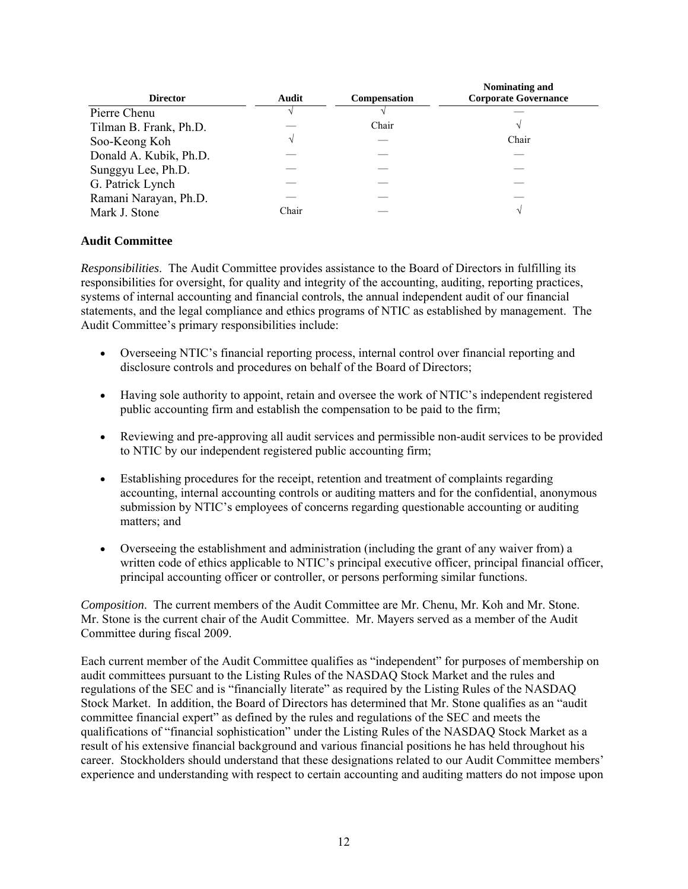| <b>Director</b>        | Audit | <b>Compensation</b> | Nominating and<br><b>Corporate Governance</b> |
|------------------------|-------|---------------------|-----------------------------------------------|
| Pierre Chenu           |       |                     |                                               |
| Tilman B. Frank, Ph.D. |       | Chair               |                                               |
| Soo-Keong Koh          |       |                     | Chair                                         |
| Donald A. Kubik, Ph.D. |       |                     |                                               |
| Sunggyu Lee, Ph.D.     |       |                     |                                               |
| G. Patrick Lynch       |       |                     |                                               |
| Ramani Narayan, Ph.D.  |       |                     |                                               |
| Mark J. Stone          | Chair |                     | $\mathcal{N}$                                 |

## **Audit Committee**

*Responsibilities*. The Audit Committee provides assistance to the Board of Directors in fulfilling its responsibilities for oversight, for quality and integrity of the accounting, auditing, reporting practices, systems of internal accounting and financial controls, the annual independent audit of our financial statements, and the legal compliance and ethics programs of NTIC as established by management. The Audit Committee's primary responsibilities include:

- Overseeing NTIC's financial reporting process, internal control over financial reporting and disclosure controls and procedures on behalf of the Board of Directors;
- Having sole authority to appoint, retain and oversee the work of NTIC's independent registered public accounting firm and establish the compensation to be paid to the firm;
- Reviewing and pre-approving all audit services and permissible non-audit services to be provided to NTIC by our independent registered public accounting firm;
- Establishing procedures for the receipt, retention and treatment of complaints regarding accounting, internal accounting controls or auditing matters and for the confidential, anonymous submission by NTIC's employees of concerns regarding questionable accounting or auditing matters; and
- Overseeing the establishment and administration (including the grant of any waiver from) a written code of ethics applicable to NTIC's principal executive officer, principal financial officer, principal accounting officer or controller, or persons performing similar functions.

*Composition*. The current members of the Audit Committee are Mr. Chenu, Mr. Koh and Mr. Stone. Mr. Stone is the current chair of the Audit Committee. Mr. Mayers served as a member of the Audit Committee during fiscal 2009.

Each current member of the Audit Committee qualifies as "independent" for purposes of membership on audit committees pursuant to the Listing Rules of the NASDAQ Stock Market and the rules and regulations of the SEC and is "financially literate" as required by the Listing Rules of the NASDAQ Stock Market. In addition, the Board of Directors has determined that Mr. Stone qualifies as an "audit committee financial expert" as defined by the rules and regulations of the SEC and meets the qualifications of "financial sophistication" under the Listing Rules of the NASDAQ Stock Market as a result of his extensive financial background and various financial positions he has held throughout his career. Stockholders should understand that these designations related to our Audit Committee members' experience and understanding with respect to certain accounting and auditing matters do not impose upon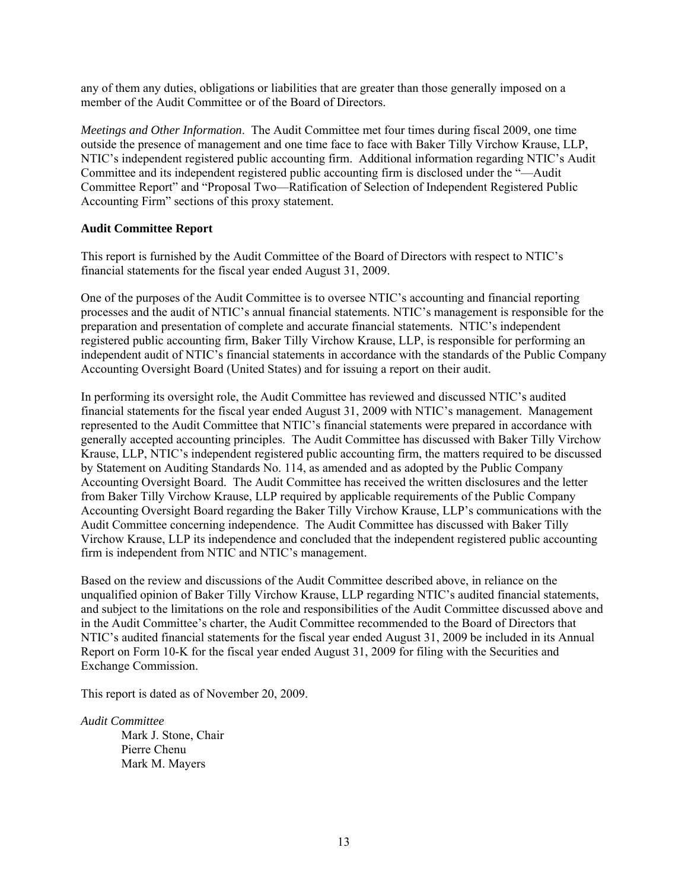any of them any duties, obligations or liabilities that are greater than those generally imposed on a member of the Audit Committee or of the Board of Directors.

*Meetings and Other Information*. The Audit Committee met four times during fiscal 2009, one time outside the presence of management and one time face to face with Baker Tilly Virchow Krause, LLP, NTIC's independent registered public accounting firm. Additional information regarding NTIC's Audit Committee and its independent registered public accounting firm is disclosed under the "—Audit Committee Report" and "Proposal Two—Ratification of Selection of Independent Registered Public Accounting Firm" sections of this proxy statement.

#### **Audit Committee Report**

This report is furnished by the Audit Committee of the Board of Directors with respect to NTIC's financial statements for the fiscal year ended August 31, 2009.

One of the purposes of the Audit Committee is to oversee NTIC's accounting and financial reporting processes and the audit of NTIC's annual financial statements. NTIC's management is responsible for the preparation and presentation of complete and accurate financial statements. NTIC's independent registered public accounting firm, Baker Tilly Virchow Krause, LLP, is responsible for performing an independent audit of NTIC's financial statements in accordance with the standards of the Public Company Accounting Oversight Board (United States) and for issuing a report on their audit.

In performing its oversight role, the Audit Committee has reviewed and discussed NTIC's audited financial statements for the fiscal year ended August 31, 2009 with NTIC's management. Management represented to the Audit Committee that NTIC's financial statements were prepared in accordance with generally accepted accounting principles. The Audit Committee has discussed with Baker Tilly Virchow Krause, LLP, NTIC's independent registered public accounting firm, the matters required to be discussed by Statement on Auditing Standards No. 114, as amended and as adopted by the Public Company Accounting Oversight Board. The Audit Committee has received the written disclosures and the letter from Baker Tilly Virchow Krause, LLP required by applicable requirements of the Public Company Accounting Oversight Board regarding the Baker Tilly Virchow Krause, LLP's communications with the Audit Committee concerning independence. The Audit Committee has discussed with Baker Tilly Virchow Krause, LLP its independence and concluded that the independent registered public accounting firm is independent from NTIC and NTIC's management.

Based on the review and discussions of the Audit Committee described above, in reliance on the unqualified opinion of Baker Tilly Virchow Krause, LLP regarding NTIC's audited financial statements, and subject to the limitations on the role and responsibilities of the Audit Committee discussed above and in the Audit Committee's charter, the Audit Committee recommended to the Board of Directors that NTIC's audited financial statements for the fiscal year ended August 31, 2009 be included in its Annual Report on Form 10-K for the fiscal year ended August 31, 2009 for filing with the Securities and Exchange Commission.

This report is dated as of November 20, 2009.

*Audit Committee* Mark J. Stone, Chair Pierre Chenu Mark M. Mayers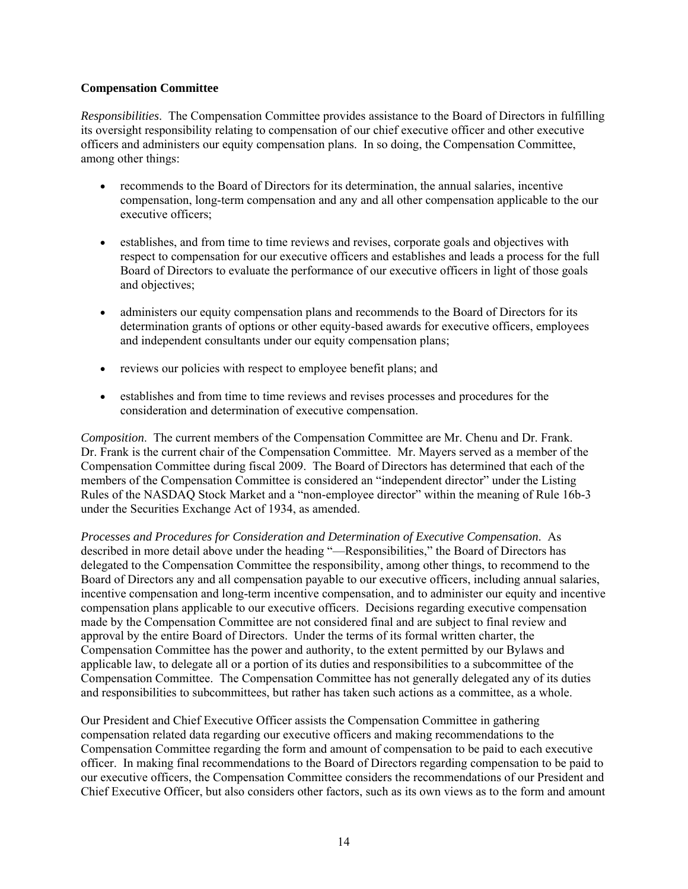## **Compensation Committee**

*Responsibilities*. The Compensation Committee provides assistance to the Board of Directors in fulfilling its oversight responsibility relating to compensation of our chief executive officer and other executive officers and administers our equity compensation plans. In so doing, the Compensation Committee, among other things:

- recommends to the Board of Directors for its determination, the annual salaries, incentive compensation, long-term compensation and any and all other compensation applicable to the our executive officers;
- establishes, and from time to time reviews and revises, corporate goals and objectives with respect to compensation for our executive officers and establishes and leads a process for the full Board of Directors to evaluate the performance of our executive officers in light of those goals and objectives;
- administers our equity compensation plans and recommends to the Board of Directors for its determination grants of options or other equity-based awards for executive officers, employees and independent consultants under our equity compensation plans;
- reviews our policies with respect to employee benefit plans; and
- establishes and from time to time reviews and revises processes and procedures for the consideration and determination of executive compensation.

*Composition*. The current members of the Compensation Committee are Mr. Chenu and Dr. Frank. Dr. Frank is the current chair of the Compensation Committee. Mr. Mayers served as a member of the Compensation Committee during fiscal 2009. The Board of Directors has determined that each of the members of the Compensation Committee is considered an "independent director" under the Listing Rules of the NASDAQ Stock Market and a "non-employee director" within the meaning of Rule 16b-3 under the Securities Exchange Act of 1934, as amended.

*Processes and Procedures for Consideration and Determination of Executive Compensation*. As described in more detail above under the heading "—Responsibilities," the Board of Directors has delegated to the Compensation Committee the responsibility, among other things, to recommend to the Board of Directors any and all compensation payable to our executive officers, including annual salaries, incentive compensation and long-term incentive compensation, and to administer our equity and incentive compensation plans applicable to our executive officers. Decisions regarding executive compensation made by the Compensation Committee are not considered final and are subject to final review and approval by the entire Board of Directors. Under the terms of its formal written charter, the Compensation Committee has the power and authority, to the extent permitted by our Bylaws and applicable law, to delegate all or a portion of its duties and responsibilities to a subcommittee of the Compensation Committee. The Compensation Committee has not generally delegated any of its duties and responsibilities to subcommittees, but rather has taken such actions as a committee, as a whole.

Our President and Chief Executive Officer assists the Compensation Committee in gathering compensation related data regarding our executive officers and making recommendations to the Compensation Committee regarding the form and amount of compensation to be paid to each executive officer. In making final recommendations to the Board of Directors regarding compensation to be paid to our executive officers, the Compensation Committee considers the recommendations of our President and Chief Executive Officer, but also considers other factors, such as its own views as to the form and amount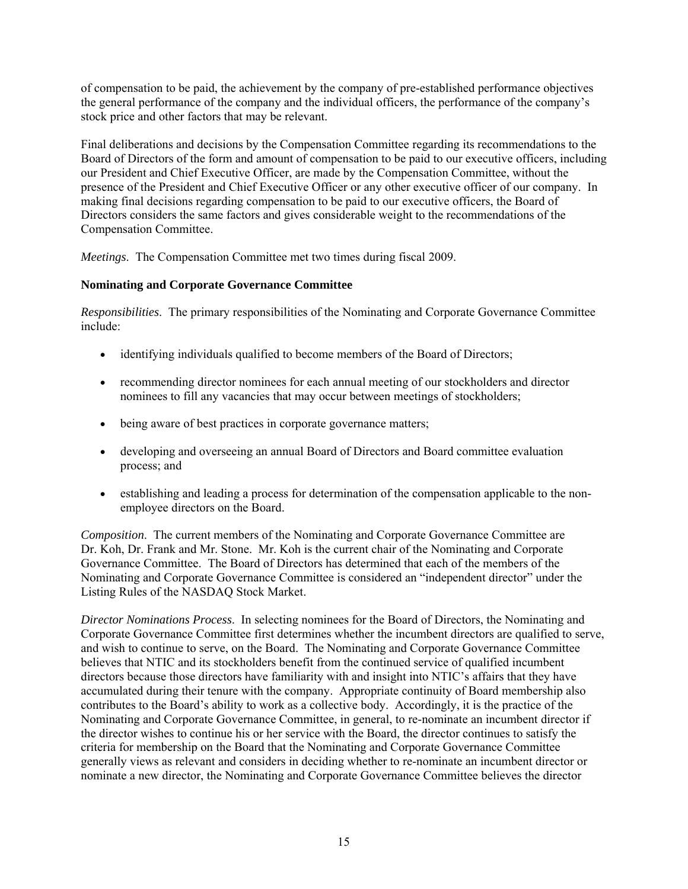of compensation to be paid, the achievement by the company of pre-established performance objectives the general performance of the company and the individual officers, the performance of the company's stock price and other factors that may be relevant.

Final deliberations and decisions by the Compensation Committee regarding its recommendations to the Board of Directors of the form and amount of compensation to be paid to our executive officers, including our President and Chief Executive Officer, are made by the Compensation Committee, without the presence of the President and Chief Executive Officer or any other executive officer of our company. In making final decisions regarding compensation to be paid to our executive officers, the Board of Directors considers the same factors and gives considerable weight to the recommendations of the Compensation Committee.

*Meetings*. The Compensation Committee met two times during fiscal 2009.

## **Nominating and Corporate Governance Committee**

*Responsibilities*. The primary responsibilities of the Nominating and Corporate Governance Committee include:

- identifying individuals qualified to become members of the Board of Directors;
- recommending director nominees for each annual meeting of our stockholders and director nominees to fill any vacancies that may occur between meetings of stockholders;
- being aware of best practices in corporate governance matters;
- developing and overseeing an annual Board of Directors and Board committee evaluation process; and
- establishing and leading a process for determination of the compensation applicable to the nonemployee directors on the Board.

*Composition*. The current members of the Nominating and Corporate Governance Committee are Dr. Koh, Dr. Frank and Mr. Stone. Mr. Koh is the current chair of the Nominating and Corporate Governance Committee. The Board of Directors has determined that each of the members of the Nominating and Corporate Governance Committee is considered an "independent director" under the Listing Rules of the NASDAQ Stock Market.

*Director Nominations Process*. In selecting nominees for the Board of Directors, the Nominating and Corporate Governance Committee first determines whether the incumbent directors are qualified to serve, and wish to continue to serve, on the Board. The Nominating and Corporate Governance Committee believes that NTIC and its stockholders benefit from the continued service of qualified incumbent directors because those directors have familiarity with and insight into NTIC's affairs that they have accumulated during their tenure with the company. Appropriate continuity of Board membership also contributes to the Board's ability to work as a collective body. Accordingly, it is the practice of the Nominating and Corporate Governance Committee, in general, to re-nominate an incumbent director if the director wishes to continue his or her service with the Board, the director continues to satisfy the criteria for membership on the Board that the Nominating and Corporate Governance Committee generally views as relevant and considers in deciding whether to re-nominate an incumbent director or nominate a new director, the Nominating and Corporate Governance Committee believes the director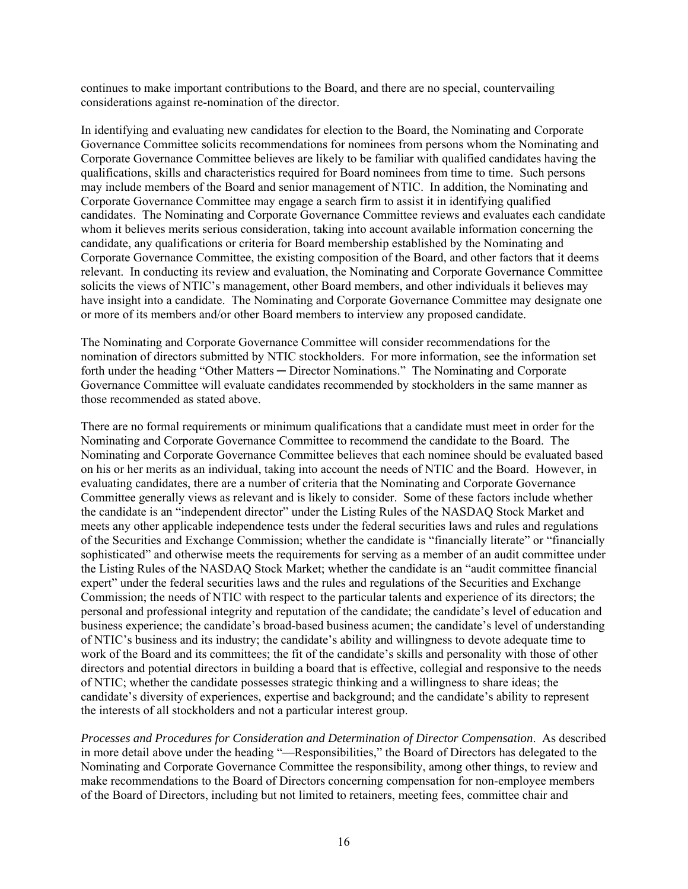continues to make important contributions to the Board, and there are no special, countervailing considerations against re-nomination of the director.

In identifying and evaluating new candidates for election to the Board, the Nominating and Corporate Governance Committee solicits recommendations for nominees from persons whom the Nominating and Corporate Governance Committee believes are likely to be familiar with qualified candidates having the qualifications, skills and characteristics required for Board nominees from time to time. Such persons may include members of the Board and senior management of NTIC. In addition, the Nominating and Corporate Governance Committee may engage a search firm to assist it in identifying qualified candidates. The Nominating and Corporate Governance Committee reviews and evaluates each candidate whom it believes merits serious consideration, taking into account available information concerning the candidate, any qualifications or criteria for Board membership established by the Nominating and Corporate Governance Committee, the existing composition of the Board, and other factors that it deems relevant. In conducting its review and evaluation, the Nominating and Corporate Governance Committee solicits the views of NTIC's management, other Board members, and other individuals it believes may have insight into a candidate. The Nominating and Corporate Governance Committee may designate one or more of its members and/or other Board members to interview any proposed candidate.

The Nominating and Corporate Governance Committee will consider recommendations for the nomination of directors submitted by NTIC stockholders. For more information, see the information set forth under the heading "Other Matters — Director Nominations." The Nominating and Corporate Governance Committee will evaluate candidates recommended by stockholders in the same manner as those recommended as stated above.

There are no formal requirements or minimum qualifications that a candidate must meet in order for the Nominating and Corporate Governance Committee to recommend the candidate to the Board. The Nominating and Corporate Governance Committee believes that each nominee should be evaluated based on his or her merits as an individual, taking into account the needs of NTIC and the Board. However, in evaluating candidates, there are a number of criteria that the Nominating and Corporate Governance Committee generally views as relevant and is likely to consider. Some of these factors include whether the candidate is an "independent director" under the Listing Rules of the NASDAQ Stock Market and meets any other applicable independence tests under the federal securities laws and rules and regulations of the Securities and Exchange Commission; whether the candidate is "financially literate" or "financially sophisticated" and otherwise meets the requirements for serving as a member of an audit committee under the Listing Rules of the NASDAQ Stock Market; whether the candidate is an "audit committee financial expert" under the federal securities laws and the rules and regulations of the Securities and Exchange Commission; the needs of NTIC with respect to the particular talents and experience of its directors; the personal and professional integrity and reputation of the candidate; the candidate's level of education and business experience; the candidate's broad-based business acumen; the candidate's level of understanding of NTIC's business and its industry; the candidate's ability and willingness to devote adequate time to work of the Board and its committees; the fit of the candidate's skills and personality with those of other directors and potential directors in building a board that is effective, collegial and responsive to the needs of NTIC; whether the candidate possesses strategic thinking and a willingness to share ideas; the candidate's diversity of experiences, expertise and background; and the candidate's ability to represent the interests of all stockholders and not a particular interest group.

*Processes and Procedures for Consideration and Determination of Director Compensation*. As described in more detail above under the heading "—Responsibilities," the Board of Directors has delegated to the Nominating and Corporate Governance Committee the responsibility, among other things, to review and make recommendations to the Board of Directors concerning compensation for non-employee members of the Board of Directors, including but not limited to retainers, meeting fees, committee chair and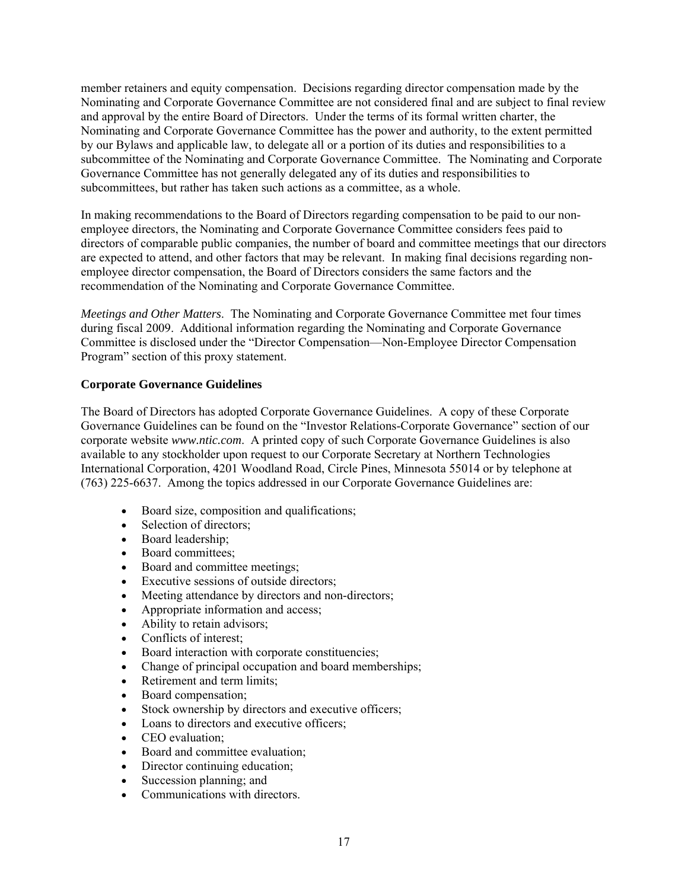member retainers and equity compensation. Decisions regarding director compensation made by the Nominating and Corporate Governance Committee are not considered final and are subject to final review and approval by the entire Board of Directors. Under the terms of its formal written charter, the Nominating and Corporate Governance Committee has the power and authority, to the extent permitted by our Bylaws and applicable law, to delegate all or a portion of its duties and responsibilities to a subcommittee of the Nominating and Corporate Governance Committee. The Nominating and Corporate Governance Committee has not generally delegated any of its duties and responsibilities to subcommittees, but rather has taken such actions as a committee, as a whole.

In making recommendations to the Board of Directors regarding compensation to be paid to our nonemployee directors, the Nominating and Corporate Governance Committee considers fees paid to directors of comparable public companies, the number of board and committee meetings that our directors are expected to attend, and other factors that may be relevant. In making final decisions regarding nonemployee director compensation, the Board of Directors considers the same factors and the recommendation of the Nominating and Corporate Governance Committee.

*Meetings and Other Matters*. The Nominating and Corporate Governance Committee met four times during fiscal 2009. Additional information regarding the Nominating and Corporate Governance Committee is disclosed under the "Director Compensation—Non-Employee Director Compensation Program" section of this proxy statement.

## **Corporate Governance Guidelines**

The Board of Directors has adopted Corporate Governance Guidelines. A copy of these Corporate Governance Guidelines can be found on the "Investor Relations-Corporate Governance" section of our corporate website *www.ntic.com*. A printed copy of such Corporate Governance Guidelines is also available to any stockholder upon request to our Corporate Secretary at Northern Technologies International Corporation, 4201 Woodland Road, Circle Pines, Minnesota 55014 or by telephone at (763) 225-6637. Among the topics addressed in our Corporate Governance Guidelines are:

- Board size, composition and qualifications;
- Selection of directors;
- Board leadership:
- Board committees:
- Board and committee meetings;
- Executive sessions of outside directors;
- Meeting attendance by directors and non-directors;
- Appropriate information and access;
- Ability to retain advisors;
- Conflicts of interest:
- Board interaction with corporate constituencies;
- Change of principal occupation and board memberships;
- Retirement and term limits;
- Board compensation;
- Stock ownership by directors and executive officers;
- Loans to directors and executive officers;
- CEO evaluation:
- Board and committee evaluation;
- Director continuing education;
- Succession planning; and
- Communications with directors.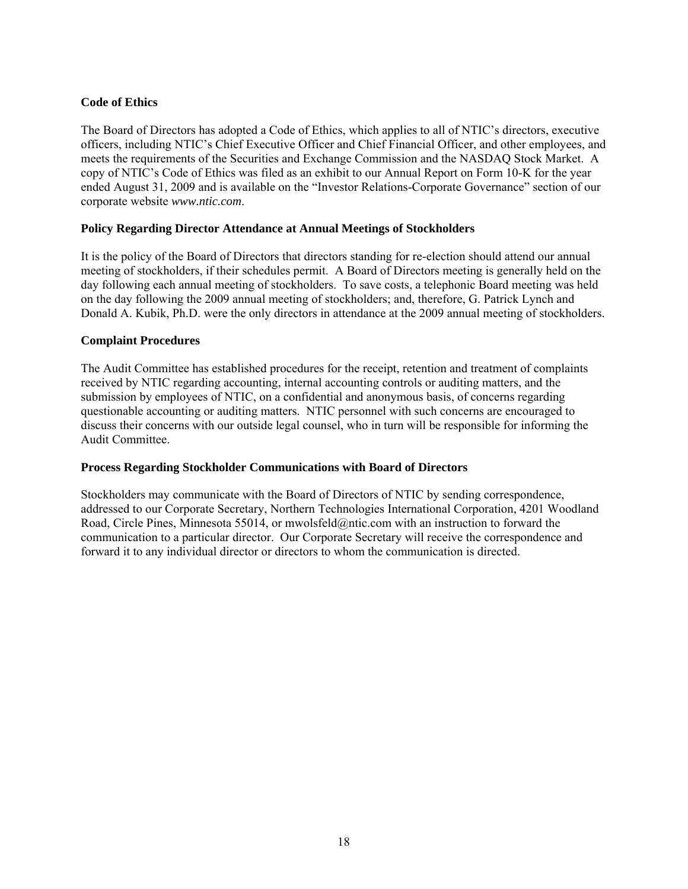## **Code of Ethics**

The Board of Directors has adopted a Code of Ethics, which applies to all of NTIC's directors, executive officers, including NTIC's Chief Executive Officer and Chief Financial Officer, and other employees, and meets the requirements of the Securities and Exchange Commission and the NASDAQ Stock Market. A copy of NTIC's Code of Ethics was filed as an exhibit to our Annual Report on Form 10-K for the year ended August 31, 2009 and is available on the "Investor Relations-Corporate Governance" section of our corporate website *www.ntic.com*.

## **Policy Regarding Director Attendance at Annual Meetings of Stockholders**

It is the policy of the Board of Directors that directors standing for re-election should attend our annual meeting of stockholders, if their schedules permit. A Board of Directors meeting is generally held on the day following each annual meeting of stockholders. To save costs, a telephonic Board meeting was held on the day following the 2009 annual meeting of stockholders; and, therefore, G. Patrick Lynch and Donald A. Kubik, Ph.D. were the only directors in attendance at the 2009 annual meeting of stockholders.

#### **Complaint Procedures**

The Audit Committee has established procedures for the receipt, retention and treatment of complaints received by NTIC regarding accounting, internal accounting controls or auditing matters, and the submission by employees of NTIC, on a confidential and anonymous basis, of concerns regarding questionable accounting or auditing matters. NTIC personnel with such concerns are encouraged to discuss their concerns with our outside legal counsel, who in turn will be responsible for informing the Audit Committee.

## **Process Regarding Stockholder Communications with Board of Directors**

Stockholders may communicate with the Board of Directors of NTIC by sending correspondence, addressed to our Corporate Secretary, Northern Technologies International Corporation, 4201 Woodland Road, Circle Pines, Minnesota 55014, or mwolsfeld@ntic.com with an instruction to forward the communication to a particular director. Our Corporate Secretary will receive the correspondence and forward it to any individual director or directors to whom the communication is directed.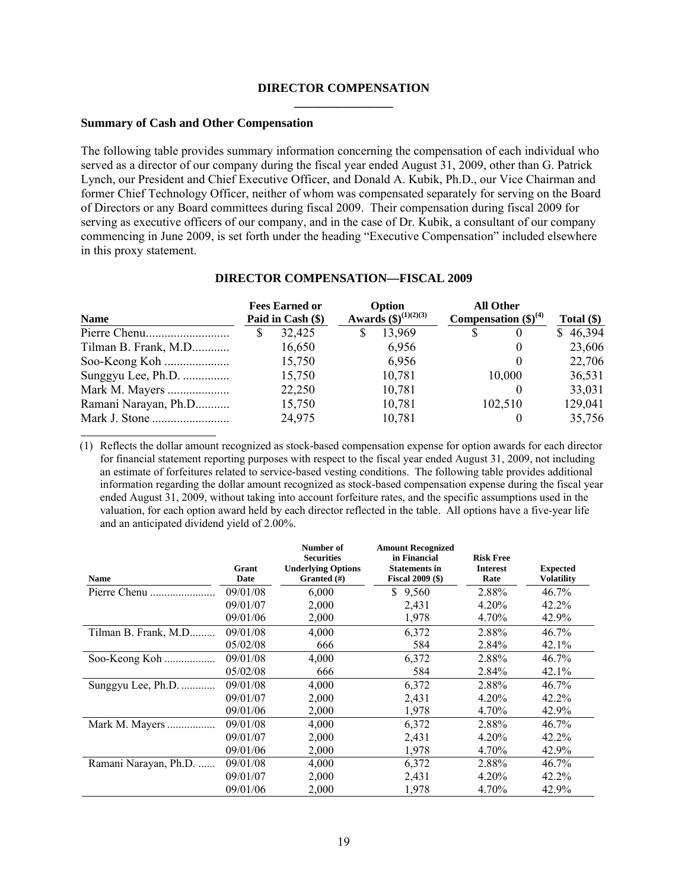#### **DIRECTOR COMPENSATION \_\_\_\_\_\_\_\_\_\_\_\_\_\_\_\_**

#### **Summary of Cash and Other Compensation**

The following table provides summary information concerning the compensation of each individual who served as a director of our company during the fiscal year ended August 31, 2009, other than G. Patrick Lynch, our President and Chief Executive Officer, and Donald A. Kubik, Ph.D., our Vice Chairman and former Chief Technology Officer, neither of whom was compensated separately for serving on the Board of Directors or any Board committees during fiscal 2009. Their compensation during fiscal 2009 for serving as executive officers of our company, and in the case of Dr. Kubik, a consultant of our company commencing in June 2009, is set forth under the heading "Executive Compensation" included elsewhere in this proxy statement.

| <b>Name</b>          | <b>Fees Earned or</b><br>Paid in Cash (\$) |        | Option<br>Awards $(\$)^{(1)(2)(3)}$ |        | <b>All Other</b><br>Compensation $(\text{$\$})^{(4)}$ |                  | Total $(\$)$ |  |
|----------------------|--------------------------------------------|--------|-------------------------------------|--------|-------------------------------------------------------|------------------|--------------|--|
|                      |                                            | 32,425 | S                                   | 13,969 |                                                       | $\theta$         | \$46,394     |  |
| Tilman B. Frank, M.D |                                            | 16,650 |                                     | 6,956  |                                                       | $\theta$         | 23,606       |  |
|                      |                                            | 15,750 |                                     | 6,956  |                                                       | $\left( \right)$ | 22,706       |  |
| Sunggyu Lee, Ph.D.   |                                            | 15,750 |                                     | 10,781 |                                                       | 10,000           | 36,531       |  |
| Mark M. Mayers       |                                            | 22,250 |                                     | 10,781 |                                                       |                  | 33,031       |  |
| Ramani Narayan, Ph.D |                                            | 15,750 |                                     | 10,781 |                                                       | 102,510          | 129,041      |  |
|                      |                                            | 24,975 |                                     | 10,781 |                                                       |                  | 35,756       |  |

## **DIRECTOR COMPENSATION—FISCAL 2009**

(1) Reflects the dollar amount recognized as stock-based compensation expense for option awards for each director for financial statement reporting purposes with respect to the fiscal year ended August 31, 2009, not including an estimate of forfeitures related to service-based vesting conditions. The following table provides additional information regarding the dollar amount recognized as stock-based compensation expense during the fiscal year ended August 31, 2009, without taking into account forfeiture rates, and the specific assumptions used in the valuation, for each option award held by each director reflected in the table. All options have a five-year life and an anticipated dividend yield of 2.00%.

| <b>Name</b>           | Grant<br>Date | Number of<br><b>Securities</b><br><b>Underlying Options</b><br>Granted $(\#)$ | <b>Amount Recognized</b><br>in Financial<br><b>Statements in</b><br><b>Fiscal 2009 (\$)</b> | <b>Risk Free</b><br><b>Interest</b><br>Rate | <b>Expected</b><br>Volatility |
|-----------------------|---------------|-------------------------------------------------------------------------------|---------------------------------------------------------------------------------------------|---------------------------------------------|-------------------------------|
| Pierre Chenu          | 09/01/08      | 6,000                                                                         | S<br>9,560                                                                                  | 2.88%                                       | 46.7%                         |
|                       | 09/01/07      | 2,000                                                                         | 2,431                                                                                       | 4.20%                                       | 42.2%                         |
|                       | 09/01/06      | 2,000                                                                         | 1,978                                                                                       | 4.70%                                       | 42.9%                         |
| Tilman B. Frank, M.D  | 09/01/08      | 4,000                                                                         | 6,372                                                                                       | 2.88%                                       | 46.7%                         |
|                       | 05/02/08      | 666                                                                           | 584                                                                                         | 2.84%                                       | 42.1%                         |
| Soo-Keong Koh         | 09/01/08      | 4,000                                                                         | 6,372                                                                                       | 2.88%                                       | 46.7%                         |
|                       | 05/02/08      | 666                                                                           | 584                                                                                         | 2.84%                                       | 42.1%                         |
| Sunggyu Lee, Ph.D.    | 09/01/08      | 4,000                                                                         | 6,372                                                                                       | 2.88%                                       | 46.7%                         |
|                       | 09/01/07      | 2,000                                                                         | 2,431                                                                                       | 4.20%                                       | 42.2%                         |
|                       | 09/01/06      | 2,000                                                                         | 1,978                                                                                       | 4.70%                                       | 42.9%                         |
| Mark M. Mayers        | 09/01/08      | 4,000                                                                         | 6,372                                                                                       | 2.88%                                       | $46.7\%$                      |
|                       | 09/01/07      | 2,000                                                                         | 2,431                                                                                       | 4.20%                                       | 42.2%                         |
|                       | 09/01/06      | 2,000                                                                         | 1,978                                                                                       | 4.70%                                       | 42.9%                         |
| Ramani Narayan, Ph.D. | 09/01/08      | 4,000                                                                         | 6,372                                                                                       | 2.88%                                       | 46.7%                         |
|                       | 09/01/07      | 2,000                                                                         | 2,431                                                                                       | 4.20%                                       | 42.2%                         |
|                       | 09/01/06      | 2,000                                                                         | 1,978                                                                                       | 4.70%                                       | 42.9%                         |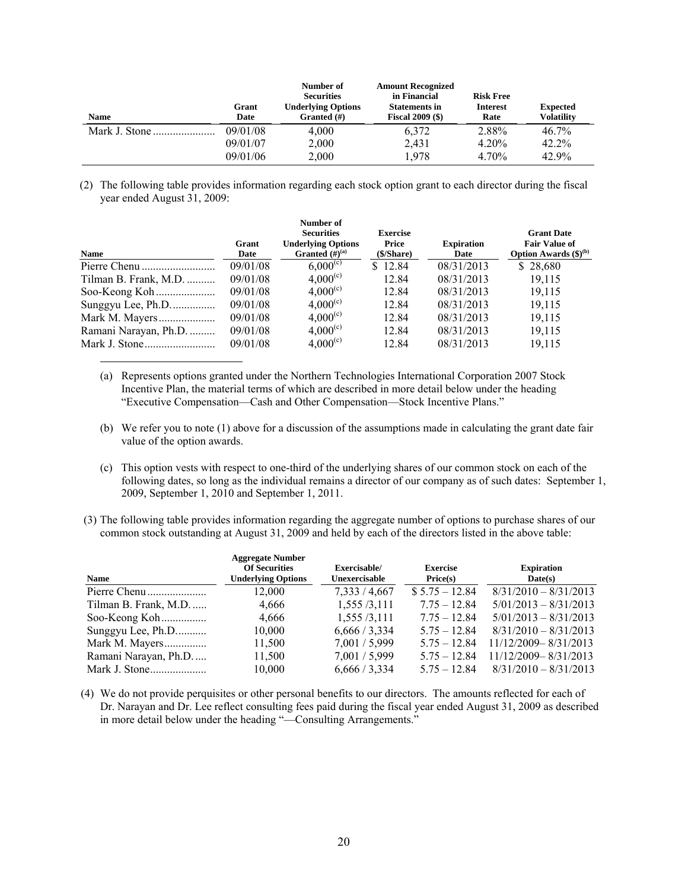| <b>Name</b> | Grant<br>Date | Number of<br><b>Securities</b><br><b>Underlying Options</b><br>Granted $(\#)$ | <b>Amount Recognized</b><br>in Financial<br><b>Statements in</b><br><b>Fiscal 2009 (\$)</b> | <b>Risk Free</b><br><b>Interest</b><br>Rate | <b>Expected</b><br><b>Volatility</b> |
|-------------|---------------|-------------------------------------------------------------------------------|---------------------------------------------------------------------------------------------|---------------------------------------------|--------------------------------------|
|             | 09/01/08      | 4,000                                                                         | 6.372                                                                                       | 2.88%                                       | 46.7%                                |
|             | 09/01/07      | 2,000                                                                         | 2.431                                                                                       | 4.20%                                       | 42.2%                                |
|             | 09/01/06      | 2,000                                                                         | 1.978                                                                                       | 4.70%                                       | 42.9%                                |

(2) The following table provides information regarding each stock option grant to each director during the fiscal year ended August 31, 2009:

| <b>Name</b>           | Grant<br>Date | Number of<br><b>Securities</b><br><b>Underlying Options</b><br>Granted $(H)^{(a)}$ | <b>Exercise</b><br>Price<br>(\$/Share) | <b>Expiration</b><br>Date | <b>Grant Date</b><br><b>Fair Value of</b><br>Option Awards $(\boldsymbol{\$})^{(b)}$ |
|-----------------------|---------------|------------------------------------------------------------------------------------|----------------------------------------|---------------------------|--------------------------------------------------------------------------------------|
|                       | 09/01/08      | $6,000^{(c)}$                                                                      | \$12.84                                | 08/31/2013                | \$28,680                                                                             |
| Tilman B. Frank, M.D. | 09/01/08      | $4,000^{(c)}$                                                                      | 12.84                                  | 08/31/2013                | 19.115                                                                               |
|                       | 09/01/08      | $4,000^{(c)}$                                                                      | 12.84                                  | 08/31/2013                | 19,115                                                                               |
| Sunggyu Lee, Ph.D     | 09/01/08      | $4,000^{(c)}$                                                                      | 12.84                                  | 08/31/2013                | 19,115                                                                               |
|                       | 09/01/08      | $4,000^{(c)}$                                                                      | 12.84                                  | 08/31/2013                | 19.115                                                                               |
| Ramani Narayan, Ph.D. | 09/01/08      | $4,000^{(c)}$                                                                      | 12.84                                  | 08/31/2013                | 19,115                                                                               |
|                       | 09/01/08      | $4,000^{(c)}$                                                                      | 12.84                                  | 08/31/2013                | 19,115                                                                               |

- (a) Represents options granted under the Northern Technologies International Corporation 2007 Stock Incentive Plan, the material terms of which are described in more detail below under the heading "Executive Compensation—Cash and Other Compensation—Stock Incentive Plans."
- (b) We refer you to note (1) above for a discussion of the assumptions made in calculating the grant date fair value of the option awards.
- (c) This option vests with respect to one-third of the underlying shares of our common stock on each of the following dates, so long as the individual remains a director of our company as of such dates: September 1, 2009, September 1, 2010 and September 1, 2011.
- (3) The following table provides information regarding the aggregate number of options to purchase shares of our common stock outstanding at August 31, 2009 and held by each of the directors listed in the above table:

| <b>Name</b>          | <b>Aggregate Number</b><br><b>Of Securities</b><br><b>Underlying Options</b> | Exercisable/<br>Unexercisable | <b>Exercise</b><br>Price(s) | <b>Expiration</b><br>Date(s) |
|----------------------|------------------------------------------------------------------------------|-------------------------------|-----------------------------|------------------------------|
|                      | 12,000                                                                       | 7,333/4,667                   | $$5.75 - 12.84$             | $8/31/2010 - 8/31/2013$      |
| Tilman B. Frank, M.D | 4,666                                                                        | 1,555/3,111                   | $7.75 - 12.84$              | $5/01/2013 - 8/31/2013$      |
| Soo-Keong Koh        | 4,666                                                                        | 1,555/3,111                   | $7.75 - 12.84$              | $5/01/2013 - 8/31/2013$      |
| Sunggyu Lee, Ph.D    | 10,000                                                                       | 6,666/3,334                   | $5.75 - 12.84$              | $8/31/2010 - 8/31/2013$      |
| Mark M. Mayers       | 11,500                                                                       | 7,001/5,999                   | $5.75 - 12.84$              | 11/12/2009-8/31/2013         |
| Ramani Narayan, Ph.D | 11,500                                                                       | 7,001 / 5,999                 | $5.75 - 12.84$              | $11/12/2009 - 8/31/2013$     |
|                      | 10,000                                                                       | 6,666/3,334                   | $5.75 - 12.84$              | $8/31/2010 - 8/31/2013$      |

(4) We do not provide perquisites or other personal benefits to our directors. The amounts reflected for each of Dr. Narayan and Dr. Lee reflect consulting fees paid during the fiscal year ended August 31, 2009 as described in more detail below under the heading "—Consulting Arrangements."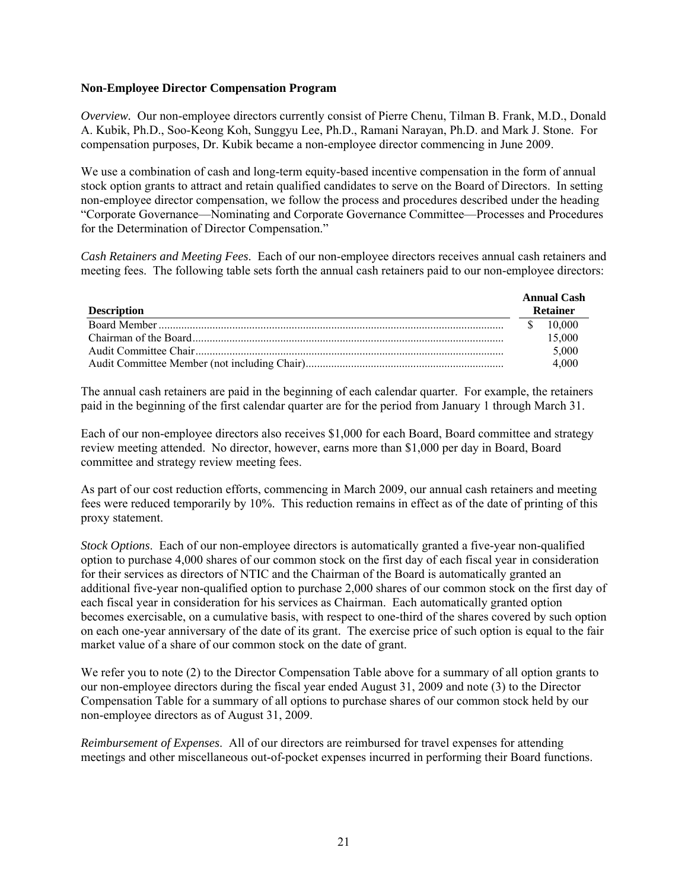### **Non-Employee Director Compensation Program**

*Overview.* Our non-employee directors currently consist of Pierre Chenu, Tilman B. Frank, M.D., Donald A. Kubik, Ph.D., Soo-Keong Koh, Sunggyu Lee, Ph.D., Ramani Narayan, Ph.D. and Mark J. Stone. For compensation purposes, Dr. Kubik became a non-employee director commencing in June 2009.

We use a combination of cash and long-term equity-based incentive compensation in the form of annual stock option grants to attract and retain qualified candidates to serve on the Board of Directors. In setting non-employee director compensation, we follow the process and procedures described under the heading "Corporate Governance—Nominating and Corporate Governance Committee—Processes and Procedures for the Determination of Director Compensation."

*Cash Retainers and Meeting Fees*. Each of our non-employee directors receives annual cash retainers and meeting fees. The following table sets forth the annual cash retainers paid to our non-employee directors:

| <b>Description</b> | <b>Annual Cash</b><br><b>Retainer</b> |
|--------------------|---------------------------------------|
|                    | 10,000                                |
|                    | 15,000                                |
|                    | 5,000                                 |
|                    | 4.000                                 |

The annual cash retainers are paid in the beginning of each calendar quarter. For example, the retainers paid in the beginning of the first calendar quarter are for the period from January 1 through March 31.

Each of our non-employee directors also receives \$1,000 for each Board, Board committee and strategy review meeting attended. No director, however, earns more than \$1,000 per day in Board, Board committee and strategy review meeting fees.

As part of our cost reduction efforts, commencing in March 2009, our annual cash retainers and meeting fees were reduced temporarily by 10%. This reduction remains in effect as of the date of printing of this proxy statement.

*Stock Options*. Each of our non-employee directors is automatically granted a five-year non-qualified option to purchase 4,000 shares of our common stock on the first day of each fiscal year in consideration for their services as directors of NTIC and the Chairman of the Board is automatically granted an additional five-year non-qualified option to purchase 2,000 shares of our common stock on the first day of each fiscal year in consideration for his services as Chairman. Each automatically granted option becomes exercisable, on a cumulative basis, with respect to one-third of the shares covered by such option on each one-year anniversary of the date of its grant. The exercise price of such option is equal to the fair market value of a share of our common stock on the date of grant.

We refer you to note (2) to the Director Compensation Table above for a summary of all option grants to our non-employee directors during the fiscal year ended August 31, 2009 and note (3) to the Director Compensation Table for a summary of all options to purchase shares of our common stock held by our non-employee directors as of August 31, 2009.

*Reimbursement of Expenses*. All of our directors are reimbursed for travel expenses for attending meetings and other miscellaneous out-of-pocket expenses incurred in performing their Board functions.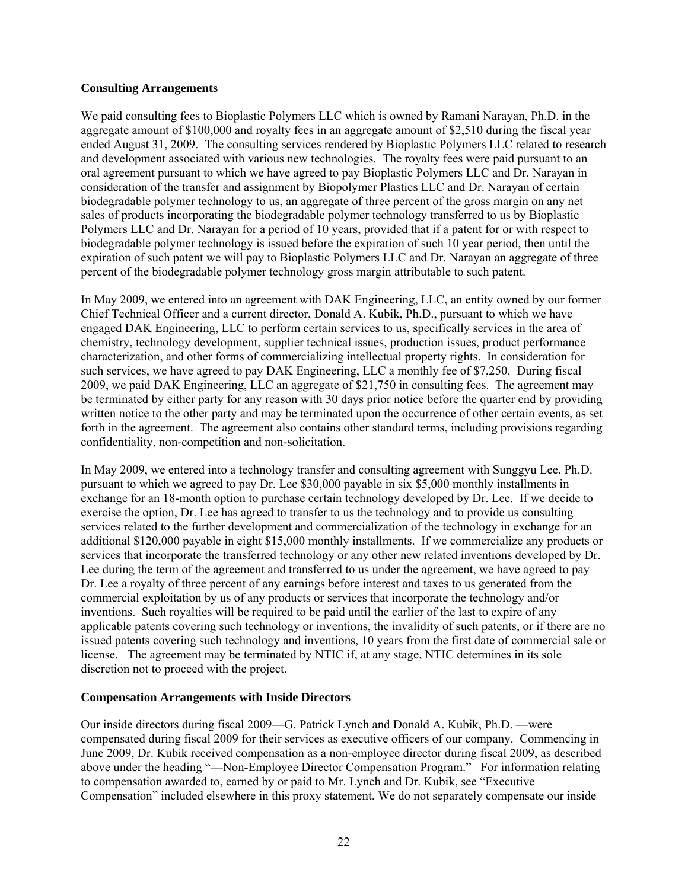### **Consulting Arrangements**

We paid consulting fees to Bioplastic Polymers LLC which is owned by Ramani Narayan, Ph.D. in the aggregate amount of \$100,000 and royalty fees in an aggregate amount of \$2,510 during the fiscal year ended August 31, 2009. The consulting services rendered by Bioplastic Polymers LLC related to research and development associated with various new technologies. The royalty fees were paid pursuant to an oral agreement pursuant to which we have agreed to pay Bioplastic Polymers LLC and Dr. Narayan in consideration of the transfer and assignment by Biopolymer Plastics LLC and Dr. Narayan of certain biodegradable polymer technology to us, an aggregate of three percent of the gross margin on any net sales of products incorporating the biodegradable polymer technology transferred to us by Bioplastic Polymers LLC and Dr. Narayan for a period of 10 years, provided that if a patent for or with respect to biodegradable polymer technology is issued before the expiration of such 10 year period, then until the expiration of such patent we will pay to Bioplastic Polymers LLC and Dr. Narayan an aggregate of three percent of the biodegradable polymer technology gross margin attributable to such patent.

In May 2009, we entered into an agreement with DAK Engineering, LLC, an entity owned by our former Chief Technical Officer and a current director, Donald A. Kubik, Ph.D., pursuant to which we have engaged DAK Engineering, LLC to perform certain services to us, specifically services in the area of chemistry, technology development, supplier technical issues, production issues, product performance characterization, and other forms of commercializing intellectual property rights. In consideration for such services, we have agreed to pay DAK Engineering, LLC a monthly fee of \$7,250. During fiscal 2009, we paid DAK Engineering, LLC an aggregate of \$21,750 in consulting fees. The agreement may be terminated by either party for any reason with 30 days prior notice before the quarter end by providing written notice to the other party and may be terminated upon the occurrence of other certain events, as set forth in the agreement. The agreement also contains other standard terms, including provisions regarding confidentiality, non-competition and non-solicitation.

In May 2009, we entered into a technology transfer and consulting agreement with Sunggyu Lee, Ph.D. pursuant to which we agreed to pay Dr. Lee \$30,000 payable in six \$5,000 monthly installments in exchange for an 18-month option to purchase certain technology developed by Dr. Lee. If we decide to exercise the option, Dr. Lee has agreed to transfer to us the technology and to provide us consulting services related to the further development and commercialization of the technology in exchange for an additional \$120,000 payable in eight \$15,000 monthly installments. If we commercialize any products or services that incorporate the transferred technology or any other new related inventions developed by Dr. Lee during the term of the agreement and transferred to us under the agreement, we have agreed to pay Dr. Lee a royalty of three percent of any earnings before interest and taxes to us generated from the commercial exploitation by us of any products or services that incorporate the technology and/or inventions. Such royalties will be required to be paid until the earlier of the last to expire of any applicable patents covering such technology or inventions, the invalidity of such patents, or if there are no issued patents covering such technology and inventions, 10 years from the first date of commercial sale or license. The agreement may be terminated by NTIC if, at any stage, NTIC determines in its sole discretion not to proceed with the project.

## **Compensation Arrangements with Inside Directors**

Our inside directors during fiscal 2009—G. Patrick Lynch and Donald A. Kubik, Ph.D. —were compensated during fiscal 2009 for their services as executive officers of our company. Commencing in June 2009, Dr. Kubik received compensation as a non-employee director during fiscal 2009, as described above under the heading "—Non-Employee Director Compensation Program." For information relating to compensation awarded to, earned by or paid to Mr. Lynch and Dr. Kubik, see "Executive Compensation" included elsewhere in this proxy statement. We do not separately compensate our inside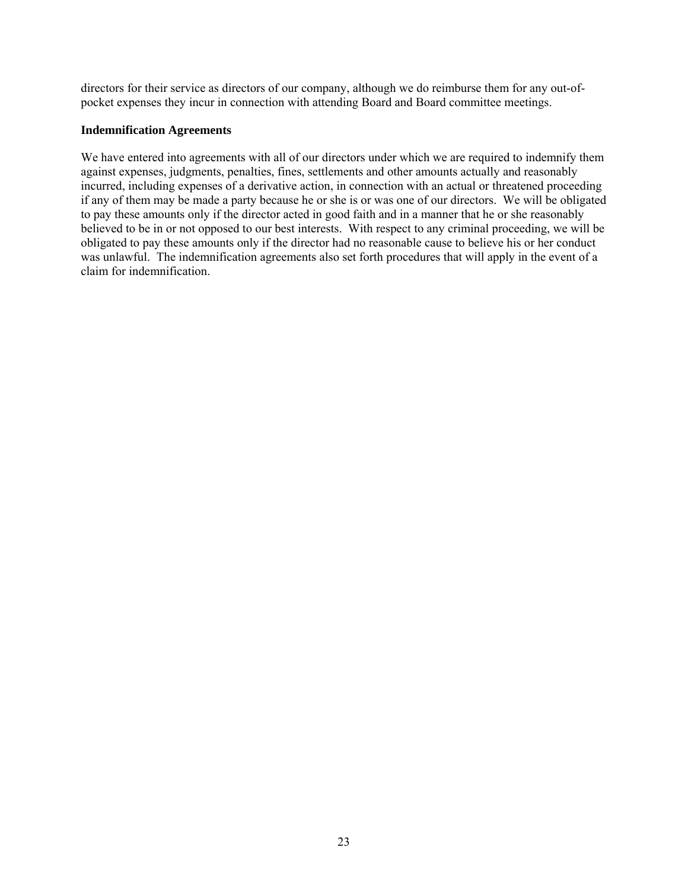directors for their service as directors of our company, although we do reimburse them for any out-ofpocket expenses they incur in connection with attending Board and Board committee meetings.

#### **Indemnification Agreements**

We have entered into agreements with all of our directors under which we are required to indemnify them against expenses, judgments, penalties, fines, settlements and other amounts actually and reasonably incurred, including expenses of a derivative action, in connection with an actual or threatened proceeding if any of them may be made a party because he or she is or was one of our directors. We will be obligated to pay these amounts only if the director acted in good faith and in a manner that he or she reasonably believed to be in or not opposed to our best interests. With respect to any criminal proceeding, we will be obligated to pay these amounts only if the director had no reasonable cause to believe his or her conduct was unlawful. The indemnification agreements also set forth procedures that will apply in the event of a claim for indemnification.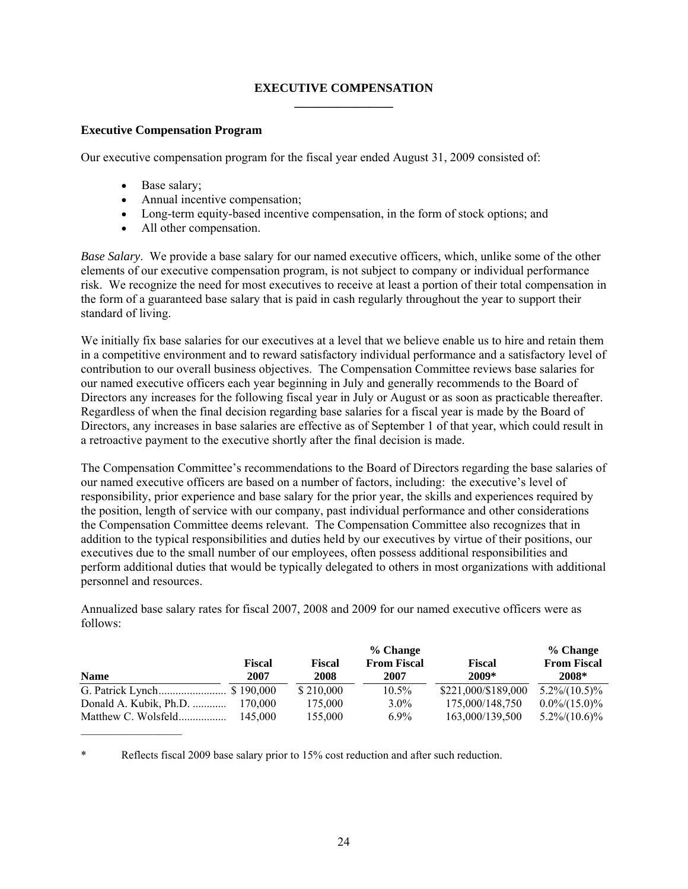## **EXECUTIVE COMPENSATION \_\_\_\_\_\_\_\_\_\_\_\_\_\_\_\_**

## **Executive Compensation Program**

Our executive compensation program for the fiscal year ended August 31, 2009 consisted of:

- Base salary;
- Annual incentive compensation;
- Long-term equity-based incentive compensation, in the form of stock options; and
- All other compensation.

*Base Salary*. We provide a base salary for our named executive officers, which, unlike some of the other elements of our executive compensation program, is not subject to company or individual performance risk. We recognize the need for most executives to receive at least a portion of their total compensation in the form of a guaranteed base salary that is paid in cash regularly throughout the year to support their standard of living.

We initially fix base salaries for our executives at a level that we believe enable us to hire and retain them in a competitive environment and to reward satisfactory individual performance and a satisfactory level of contribution to our overall business objectives. The Compensation Committee reviews base salaries for our named executive officers each year beginning in July and generally recommends to the Board of Directors any increases for the following fiscal year in July or August or as soon as practicable thereafter. Regardless of when the final decision regarding base salaries for a fiscal year is made by the Board of Directors, any increases in base salaries are effective as of September 1 of that year, which could result in a retroactive payment to the executive shortly after the final decision is made.

The Compensation Committee's recommendations to the Board of Directors regarding the base salaries of our named executive officers are based on a number of factors, including: the executive's level of responsibility, prior experience and base salary for the prior year, the skills and experiences required by the position, length of service with our company, past individual performance and other considerations the Compensation Committee deems relevant. The Compensation Committee also recognizes that in addition to the typical responsibilities and duties held by our executives by virtue of their positions, our executives due to the small number of our employees, often possess additional responsibilities and perform additional duties that would be typically delegated to others in most organizations with additional personnel and resources.

Annualized base salary rates for fiscal 2007, 2008 and 2009 for our named executive officers were as follows:

|                        |                | % Change       |                            |                        |                             |
|------------------------|----------------|----------------|----------------------------|------------------------|-----------------------------|
| <b>Name</b>            | Fiscal<br>2007 | Fiscal<br>2008 | <b>From Fiscal</b><br>2007 | <b>Fiscal</b><br>2009* | <b>From Fiscal</b><br>2008* |
|                        |                | \$210,000      | $10.5\%$                   | \$221,000/\$189,000    | $5.2\%/10.5)\%$             |
| Donald A. Kubik, Ph.D. | 170,000        | 175,000        | $3.0\%$                    | 175,000/148,750        | $0.0\%/15.0\%$              |
| Matthew C. Wolsfeld    | 145,000        | 155,000        | $6.9\%$                    | 163,000/139,500        | $5.2\%/10.6\%$              |

\* Reflects fiscal 2009 base salary prior to 15% cost reduction and after such reduction.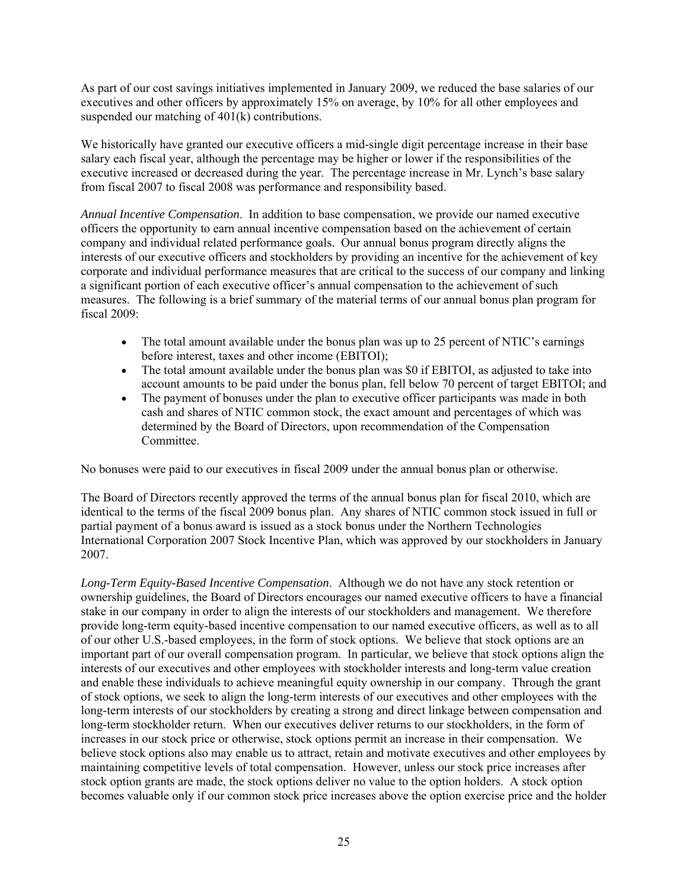As part of our cost savings initiatives implemented in January 2009, we reduced the base salaries of our executives and other officers by approximately 15% on average, by 10% for all other employees and suspended our matching of 401(k) contributions.

We historically have granted our executive officers a mid-single digit percentage increase in their base salary each fiscal year, although the percentage may be higher or lower if the responsibilities of the executive increased or decreased during the year. The percentage increase in Mr. Lynch's base salary from fiscal 2007 to fiscal 2008 was performance and responsibility based.

*Annual Incentive Compensation*. In addition to base compensation, we provide our named executive officers the opportunity to earn annual incentive compensation based on the achievement of certain company and individual related performance goals. Our annual bonus program directly aligns the interests of our executive officers and stockholders by providing an incentive for the achievement of key corporate and individual performance measures that are critical to the success of our company and linking a significant portion of each executive officer's annual compensation to the achievement of such measures. The following is a brief summary of the material terms of our annual bonus plan program for fiscal 2009:

- The total amount available under the bonus plan was up to 25 percent of NTIC's earnings before interest, taxes and other income (EBITOI);
- The total amount available under the bonus plan was \$0 if EBITOI, as adjusted to take into account amounts to be paid under the bonus plan, fell below 70 percent of target EBITOI; and
- The payment of bonuses under the plan to executive officer participants was made in both cash and shares of NTIC common stock, the exact amount and percentages of which was determined by the Board of Directors, upon recommendation of the Compensation Committee.

No bonuses were paid to our executives in fiscal 2009 under the annual bonus plan or otherwise.

The Board of Directors recently approved the terms of the annual bonus plan for fiscal 2010, which are identical to the terms of the fiscal 2009 bonus plan. Any shares of NTIC common stock issued in full or partial payment of a bonus award is issued as a stock bonus under the Northern Technologies International Corporation 2007 Stock Incentive Plan, which was approved by our stockholders in January 2007.

*Long-Term Equity-Based Incentive Compensation*. Although we do not have any stock retention or ownership guidelines, the Board of Directors encourages our named executive officers to have a financial stake in our company in order to align the interests of our stockholders and management. We therefore provide long-term equity-based incentive compensation to our named executive officers, as well as to all of our other U.S.-based employees, in the form of stock options. We believe that stock options are an important part of our overall compensation program. In particular, we believe that stock options align the interests of our executives and other employees with stockholder interests and long-term value creation and enable these individuals to achieve meaningful equity ownership in our company. Through the grant of stock options, we seek to align the long-term interests of our executives and other employees with the long-term interests of our stockholders by creating a strong and direct linkage between compensation and long-term stockholder return. When our executives deliver returns to our stockholders, in the form of increases in our stock price or otherwise, stock options permit an increase in their compensation. We believe stock options also may enable us to attract, retain and motivate executives and other employees by maintaining competitive levels of total compensation. However, unless our stock price increases after stock option grants are made, the stock options deliver no value to the option holders. A stock option becomes valuable only if our common stock price increases above the option exercise price and the holder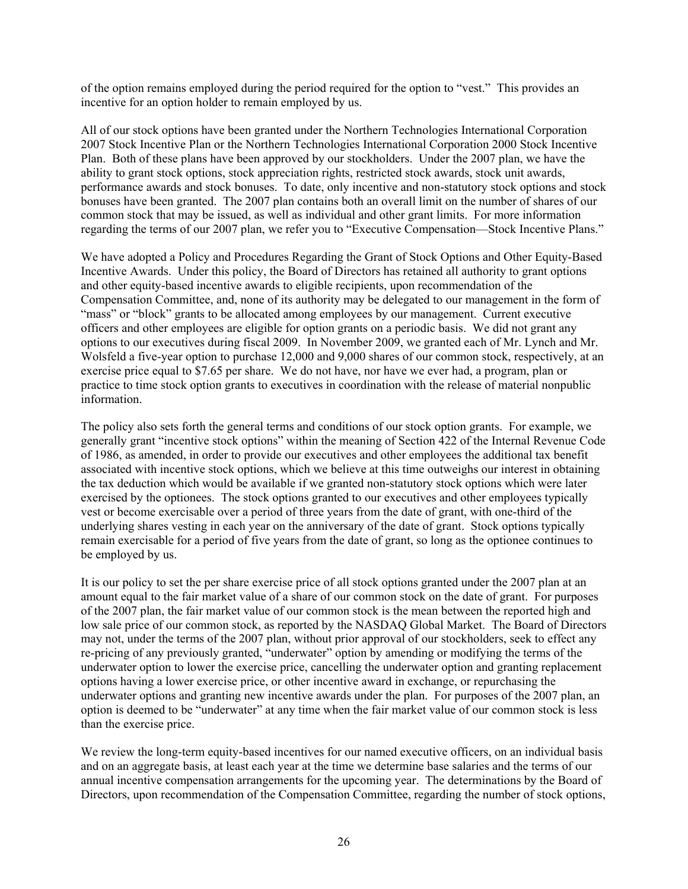of the option remains employed during the period required for the option to "vest." This provides an incentive for an option holder to remain employed by us.

All of our stock options have been granted under the Northern Technologies International Corporation 2007 Stock Incentive Plan or the Northern Technologies International Corporation 2000 Stock Incentive Plan. Both of these plans have been approved by our stockholders. Under the 2007 plan, we have the ability to grant stock options, stock appreciation rights, restricted stock awards, stock unit awards, performance awards and stock bonuses. To date, only incentive and non-statutory stock options and stock bonuses have been granted. The 2007 plan contains both an overall limit on the number of shares of our common stock that may be issued, as well as individual and other grant limits. For more information regarding the terms of our 2007 plan, we refer you to "Executive Compensation—Stock Incentive Plans."

We have adopted a Policy and Procedures Regarding the Grant of Stock Options and Other Equity-Based Incentive Awards. Under this policy, the Board of Directors has retained all authority to grant options and other equity-based incentive awards to eligible recipients, upon recommendation of the Compensation Committee, and, none of its authority may be delegated to our management in the form of "mass" or "block" grants to be allocated among employees by our management. Current executive officers and other employees are eligible for option grants on a periodic basis. We did not grant any options to our executives during fiscal 2009. In November 2009, we granted each of Mr. Lynch and Mr. Wolsfeld a five-year option to purchase 12,000 and 9,000 shares of our common stock, respectively, at an exercise price equal to \$7.65 per share. We do not have, nor have we ever had, a program, plan or practice to time stock option grants to executives in coordination with the release of material nonpublic information.

The policy also sets forth the general terms and conditions of our stock option grants. For example, we generally grant "incentive stock options" within the meaning of Section 422 of the Internal Revenue Code of 1986, as amended, in order to provide our executives and other employees the additional tax benefit associated with incentive stock options, which we believe at this time outweighs our interest in obtaining the tax deduction which would be available if we granted non-statutory stock options which were later exercised by the optionees. The stock options granted to our executives and other employees typically vest or become exercisable over a period of three years from the date of grant, with one-third of the underlying shares vesting in each year on the anniversary of the date of grant. Stock options typically remain exercisable for a period of five years from the date of grant, so long as the optionee continues to be employed by us.

It is our policy to set the per share exercise price of all stock options granted under the 2007 plan at an amount equal to the fair market value of a share of our common stock on the date of grant. For purposes of the 2007 plan, the fair market value of our common stock is the mean between the reported high and low sale price of our common stock, as reported by the NASDAQ Global Market. The Board of Directors may not, under the terms of the 2007 plan, without prior approval of our stockholders, seek to effect any re-pricing of any previously granted, "underwater" option by amending or modifying the terms of the underwater option to lower the exercise price, cancelling the underwater option and granting replacement options having a lower exercise price, or other incentive award in exchange, or repurchasing the underwater options and granting new incentive awards under the plan. For purposes of the 2007 plan, an option is deemed to be "underwater" at any time when the fair market value of our common stock is less than the exercise price.

We review the long-term equity-based incentives for our named executive officers, on an individual basis and on an aggregate basis, at least each year at the time we determine base salaries and the terms of our annual incentive compensation arrangements for the upcoming year. The determinations by the Board of Directors, upon recommendation of the Compensation Committee, regarding the number of stock options,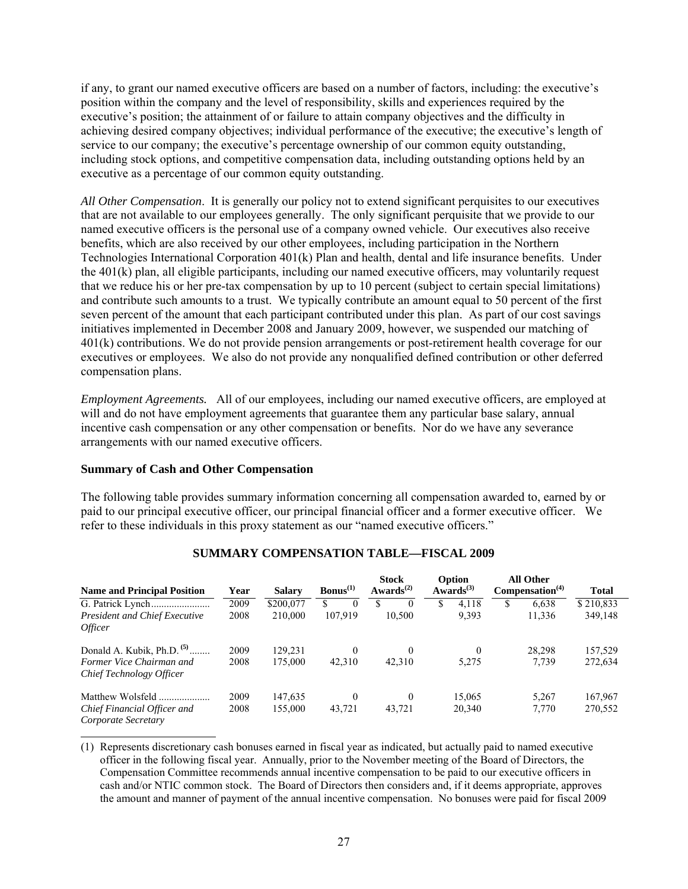if any, to grant our named executive officers are based on a number of factors, including: the executive's position within the company and the level of responsibility, skills and experiences required by the executive's position; the attainment of or failure to attain company objectives and the difficulty in achieving desired company objectives; individual performance of the executive; the executive's length of service to our company; the executive's percentage ownership of our common equity outstanding, including stock options, and competitive compensation data, including outstanding options held by an executive as a percentage of our common equity outstanding.

*All Other Compensation*. It is generally our policy not to extend significant perquisites to our executives that are not available to our employees generally. The only significant perquisite that we provide to our named executive officers is the personal use of a company owned vehicle. Our executives also receive benefits, which are also received by our other employees, including participation in the Northern Technologies International Corporation 401(k) Plan and health, dental and life insurance benefits. Under the 401(k) plan, all eligible participants, including our named executive officers, may voluntarily request that we reduce his or her pre-tax compensation by up to 10 percent (subject to certain special limitations) and contribute such amounts to a trust. We typically contribute an amount equal to 50 percent of the first seven percent of the amount that each participant contributed under this plan. As part of our cost savings initiatives implemented in December 2008 and January 2009, however, we suspended our matching of 401(k) contributions. We do not provide pension arrangements or post-retirement health coverage for our executives or employees. We also do not provide any nonqualified defined contribution or other deferred compensation plans.

*Employment Agreements.* All of our employees, including our named executive officers, are employed at will and do not have employment agreements that guarantee them any particular base salary, annual incentive cash compensation or any other compensation or benefits. Nor do we have any severance arrangements with our named executive officers.

## **Summary of Cash and Other Compensation**

The following table provides summary information concerning all compensation awarded to, earned by or paid to our principal executive officer, our principal financial officer and a former executive officer. We refer to these individuals in this proxy statement as our "named executive officers."

| <b>Name and Principal Position</b>                   | Year         | <b>Salary</b>        | $\text{Bonus}^{(1)}$      | <b>Stock</b><br>Awards <sup><math>(2)</math></sup> | Option<br>Awards $^{(3)}$ | <b>All Other</b><br>Compensation <sup>(4)</sup> | <b>Total</b>         |
|------------------------------------------------------|--------------|----------------------|---------------------------|----------------------------------------------------|---------------------------|-------------------------------------------------|----------------------|
| <b>President and Chief Executive</b>                 | 2009<br>2008 | \$200,077<br>210,000 | \$<br>$\Omega$<br>107.919 | $\theta$<br>10.500                                 | \$<br>4,118<br>9.393      | S<br>6,638<br>11,336                            | \$210.833<br>349,148 |
| <i>Officer</i>                                       |              |                      |                           |                                                    |                           |                                                 |                      |
| Donald A. Kubik, Ph.D. $(5)$                         | 2009         | 129.231              | $\Omega$                  | $\Omega$                                           | $\theta$                  | 28.298                                          | 157,529              |
| Former Vice Chairman and<br>Chief Technology Officer | 2008         | 175,000              | 42,310                    | 42,310                                             | 5,275                     | 7,739                                           | 272,634              |
| Matthew Wolsfeld.<br>.                               | 2009         | 147,635              | $\Omega$                  | $\Omega$                                           | 15,065                    | 5,267                                           | 167,967              |
| Chief Financial Officer and<br>Corporate Secretary   | 2008         | 155,000              | 43,721                    | 43,721                                             | 20,340                    | 7,770                                           | 270,552              |

#### **SUMMARY COMPENSATION TABLE—FISCAL 2009**

(1) Represents discretionary cash bonuses earned in fiscal year as indicated, but actually paid to named executive officer in the following fiscal year. Annually, prior to the November meeting of the Board of Directors, the Compensation Committee recommends annual incentive compensation to be paid to our executive officers in cash and/or NTIC common stock. The Board of Directors then considers and, if it deems appropriate, approves the amount and manner of payment of the annual incentive compensation. No bonuses were paid for fiscal 2009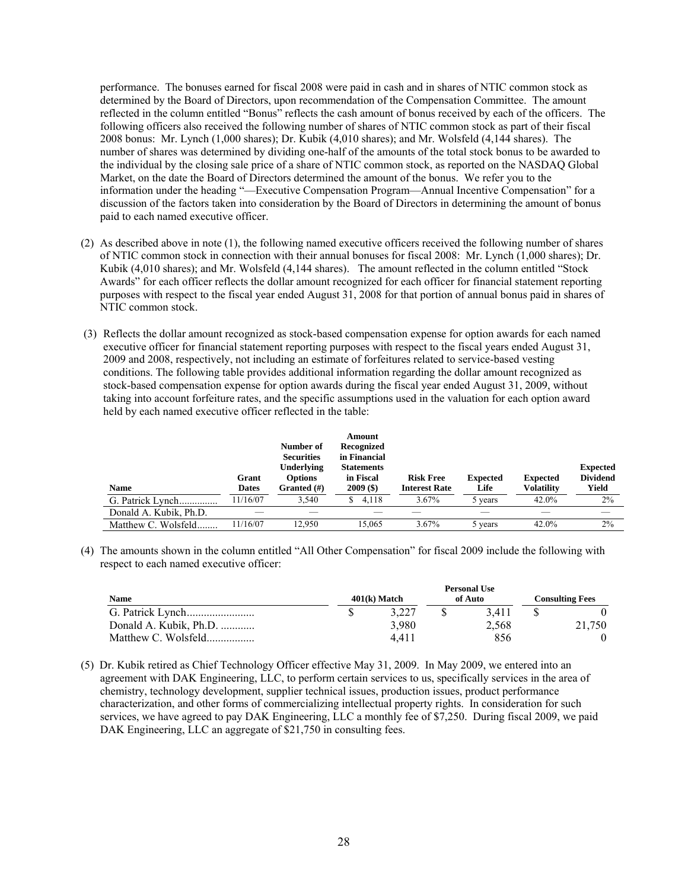performance. The bonuses earned for fiscal 2008 were paid in cash and in shares of NTIC common stock as determined by the Board of Directors, upon recommendation of the Compensation Committee. The amount reflected in the column entitled "Bonus" reflects the cash amount of bonus received by each of the officers. The following officers also received the following number of shares of NTIC common stock as part of their fiscal 2008 bonus: Mr. Lynch (1,000 shares); Dr. Kubik (4,010 shares); and Mr. Wolsfeld (4,144 shares). The number of shares was determined by dividing one-half of the amounts of the total stock bonus to be awarded to the individual by the closing sale price of a share of NTIC common stock, as reported on the NASDAQ Global Market, on the date the Board of Directors determined the amount of the bonus. We refer you to the information under the heading "—Executive Compensation Program—Annual Incentive Compensation" for a discussion of the factors taken into consideration by the Board of Directors in determining the amount of bonus paid to each named executive officer.

- (2) As described above in note (1), the following named executive officers received the following number of shares of NTIC common stock in connection with their annual bonuses for fiscal 2008: Mr. Lynch (1,000 shares); Dr. Kubik (4,010 shares); and Mr. Wolsfeld (4,144 shares). The amount reflected in the column entitled "Stock Awards" for each officer reflects the dollar amount recognized for each officer for financial statement reporting purposes with respect to the fiscal year ended August 31, 2008 for that portion of annual bonus paid in shares of NTIC common stock.
- (3) Reflects the dollar amount recognized as stock-based compensation expense for option awards for each named executive officer for financial statement reporting purposes with respect to the fiscal years ended August 31, 2009 and 2008, respectively, not including an estimate of forfeitures related to service-based vesting conditions. The following table provides additional information regarding the dollar amount recognized as stock-based compensation expense for option awards during the fiscal year ended August 31, 2009, without taking into account forfeiture rates, and the specific assumptions used in the valuation for each option award held by each named executive officer reflected in the table:

| <b>Name</b>            | Grant<br>Dates | Number of<br><b>Securities</b><br><b>Underlying</b><br><b>Options</b><br>Granted $(\#)$ | Amount<br>Recognized<br>in Financial<br><b>Statements</b><br>in Fiscal<br>$2009($ \$) | <b>Risk Free</b><br><b>Interest Rate</b> | <b>Expected</b><br>Life | <b>Expected</b><br>Volatility | <b>Expected</b><br><b>Dividend</b><br>Yield |
|------------------------|----------------|-----------------------------------------------------------------------------------------|---------------------------------------------------------------------------------------|------------------------------------------|-------------------------|-------------------------------|---------------------------------------------|
|                        |                |                                                                                         |                                                                                       |                                          |                         |                               |                                             |
| G. Patrick Lynch       | 11/16/07       | 3.540                                                                                   | 4.118<br>S                                                                            | $3.67\%$                                 | 5 years                 | 42.0%                         | 2%                                          |
| Donald A. Kubik, Ph.D. |                |                                                                                         |                                                                                       |                                          |                         |                               |                                             |
| Matthew C. Wolsfeld    | 11/16/07       | 12.950                                                                                  | 15.065                                                                                | $3.67\%$                                 | 5 years                 | 42.0%                         | 2%                                          |

(4) The amounts shown in the column entitled "All Other Compensation" for fiscal 2009 include the following with respect to each named executive officer:

|                        | <b>Personal Use</b> |                |  |         |  |                        |
|------------------------|---------------------|----------------|--|---------|--|------------------------|
| <b>Name</b>            |                     | $401(k)$ Match |  | of Auto |  | <b>Consulting Fees</b> |
|                        |                     | 3.227          |  | 3.411   |  |                        |
| Donald A. Kubik, Ph.D. |                     | 3.980          |  | 2.568   |  | 21.750                 |
| Matthew C. Wolsfeld    |                     | 4.411          |  | 856     |  |                        |

(5) Dr. Kubik retired as Chief Technology Officer effective May 31, 2009. In May 2009, we entered into an agreement with DAK Engineering, LLC, to perform certain services to us, specifically services in the area of chemistry, technology development, supplier technical issues, production issues, product performance characterization, and other forms of commercializing intellectual property rights. In consideration for such services, we have agreed to pay DAK Engineering, LLC a monthly fee of \$7,250. During fiscal 2009, we paid DAK Engineering, LLC an aggregate of \$21,750 in consulting fees.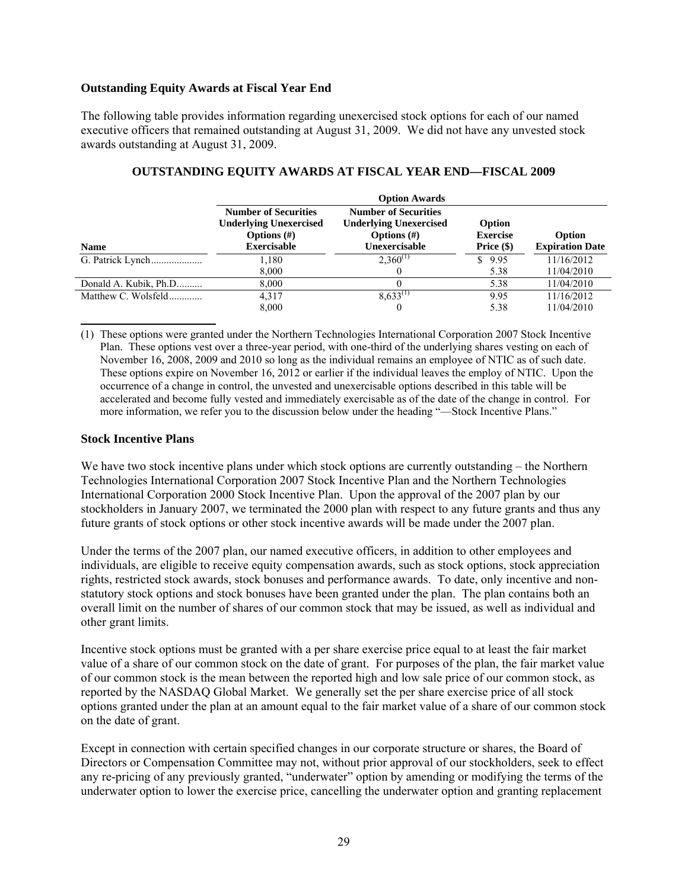### **Outstanding Equity Awards at Fiscal Year End**

The following table provides information regarding unexercised stock options for each of our named executive officers that remained outstanding at August 31, 2009. We did not have any unvested stock awards outstanding at August 31, 2009.

|                       | <b>Option Awards</b>                                                                                 |                                                                                                 |                                           |                                  |  |
|-----------------------|------------------------------------------------------------------------------------------------------|-------------------------------------------------------------------------------------------------|-------------------------------------------|----------------------------------|--|
| <b>Name</b>           | <b>Number of Securities</b><br><b>Underlying Unexercised</b><br>Options $(\#)$<br><b>Exercisable</b> | <b>Number of Securities</b><br><b>Underlying Unexercised</b><br>Options $(\#)$<br>Unexercisable | Option<br><b>Exercise</b><br>Price $(\$)$ | Option<br><b>Expiration Date</b> |  |
|                       | 1,180                                                                                                | $2.360^{(1)}$                                                                                   | 9.95<br>S.                                | 11/16/2012                       |  |
|                       | 8,000                                                                                                |                                                                                                 | 5.38                                      | 11/04/2010                       |  |
| Donald A. Kubik, Ph.D | 8,000                                                                                                |                                                                                                 | 5.38                                      | 11/04/2010                       |  |
| Matthew C. Wolsfeld   | 4,317                                                                                                | $8.633^{(1)}$                                                                                   | 9.95                                      | 11/16/2012                       |  |
|                       | 8,000                                                                                                |                                                                                                 | 5.38                                      | 11/04/2010                       |  |

#### **OUTSTANDING EQUITY AWARDS AT FISCAL YEAR END—FISCAL 2009**

(1) These options were granted under the Northern Technologies International Corporation 2007 Stock Incentive Plan. These options vest over a three-year period, with one-third of the underlying shares vesting on each of November 16, 2008, 2009 and 2010 so long as the individual remains an employee of NTIC as of such date. These options expire on November 16, 2012 or earlier if the individual leaves the employ of NTIC. Upon the occurrence of a change in control, the unvested and unexercisable options described in this table will be accelerated and become fully vested and immediately exercisable as of the date of the change in control. For more information, we refer you to the discussion below under the heading "—Stock Incentive Plans."

#### **Stock Incentive Plans**

We have two stock incentive plans under which stock options are currently outstanding – the Northern Technologies International Corporation 2007 Stock Incentive Plan and the Northern Technologies International Corporation 2000 Stock Incentive Plan. Upon the approval of the 2007 plan by our stockholders in January 2007, we terminated the 2000 plan with respect to any future grants and thus any future grants of stock options or other stock incentive awards will be made under the 2007 plan.

Under the terms of the 2007 plan, our named executive officers, in addition to other employees and individuals, are eligible to receive equity compensation awards, such as stock options, stock appreciation rights, restricted stock awards, stock bonuses and performance awards. To date, only incentive and nonstatutory stock options and stock bonuses have been granted under the plan. The plan contains both an overall limit on the number of shares of our common stock that may be issued, as well as individual and other grant limits.

Incentive stock options must be granted with a per share exercise price equal to at least the fair market value of a share of our common stock on the date of grant. For purposes of the plan, the fair market value of our common stock is the mean between the reported high and low sale price of our common stock, as reported by the NASDAQ Global Market. We generally set the per share exercise price of all stock options granted under the plan at an amount equal to the fair market value of a share of our common stock on the date of grant.

Except in connection with certain specified changes in our corporate structure or shares, the Board of Directors or Compensation Committee may not, without prior approval of our stockholders, seek to effect any re-pricing of any previously granted, "underwater" option by amending or modifying the terms of the underwater option to lower the exercise price, cancelling the underwater option and granting replacement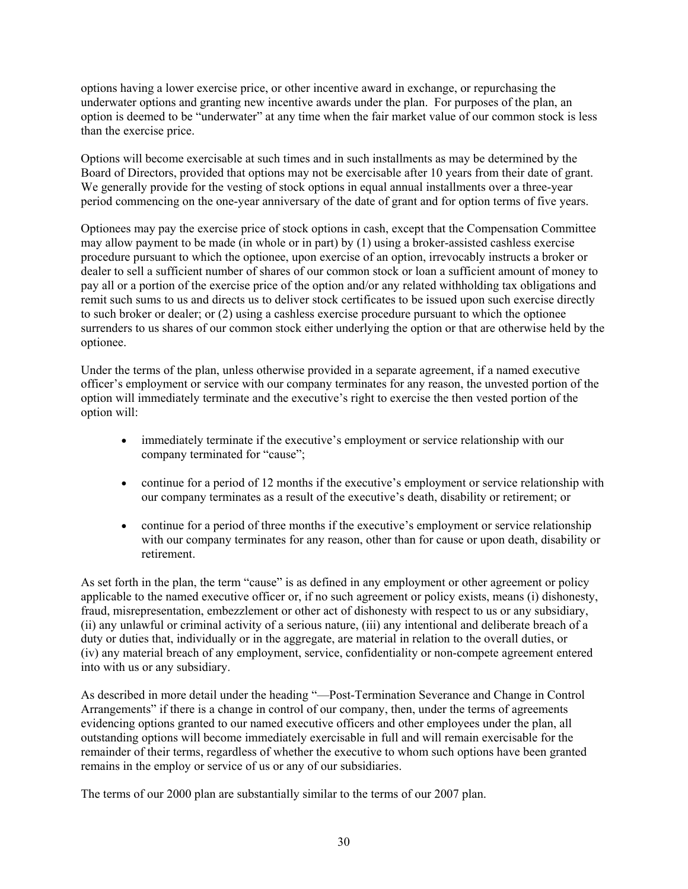options having a lower exercise price, or other incentive award in exchange, or repurchasing the underwater options and granting new incentive awards under the plan. For purposes of the plan, an option is deemed to be "underwater" at any time when the fair market value of our common stock is less than the exercise price.

Options will become exercisable at such times and in such installments as may be determined by the Board of Directors, provided that options may not be exercisable after 10 years from their date of grant. We generally provide for the vesting of stock options in equal annual installments over a three-year period commencing on the one-year anniversary of the date of grant and for option terms of five years.

Optionees may pay the exercise price of stock options in cash, except that the Compensation Committee may allow payment to be made (in whole or in part) by (1) using a broker-assisted cashless exercise procedure pursuant to which the optionee, upon exercise of an option, irrevocably instructs a broker or dealer to sell a sufficient number of shares of our common stock or loan a sufficient amount of money to pay all or a portion of the exercise price of the option and/or any related withholding tax obligations and remit such sums to us and directs us to deliver stock certificates to be issued upon such exercise directly to such broker or dealer; or (2) using a cashless exercise procedure pursuant to which the optionee surrenders to us shares of our common stock either underlying the option or that are otherwise held by the optionee.

Under the terms of the plan, unless otherwise provided in a separate agreement, if a named executive officer's employment or service with our company terminates for any reason, the unvested portion of the option will immediately terminate and the executive's right to exercise the then vested portion of the option will:

- immediately terminate if the executive's employment or service relationship with our company terminated for "cause";
- continue for a period of 12 months if the executive's employment or service relationship with our company terminates as a result of the executive's death, disability or retirement; or
- continue for a period of three months if the executive's employment or service relationship with our company terminates for any reason, other than for cause or upon death, disability or retirement.

As set forth in the plan, the term "cause" is as defined in any employment or other agreement or policy applicable to the named executive officer or, if no such agreement or policy exists, means (i) dishonesty, fraud, misrepresentation, embezzlement or other act of dishonesty with respect to us or any subsidiary, (ii) any unlawful or criminal activity of a serious nature, (iii) any intentional and deliberate breach of a duty or duties that, individually or in the aggregate, are material in relation to the overall duties, or (iv) any material breach of any employment, service, confidentiality or non-compete agreement entered into with us or any subsidiary.

As described in more detail under the heading "—Post-Termination Severance and Change in Control Arrangements" if there is a change in control of our company, then, under the terms of agreements evidencing options granted to our named executive officers and other employees under the plan, all outstanding options will become immediately exercisable in full and will remain exercisable for the remainder of their terms, regardless of whether the executive to whom such options have been granted remains in the employ or service of us or any of our subsidiaries.

The terms of our 2000 plan are substantially similar to the terms of our 2007 plan.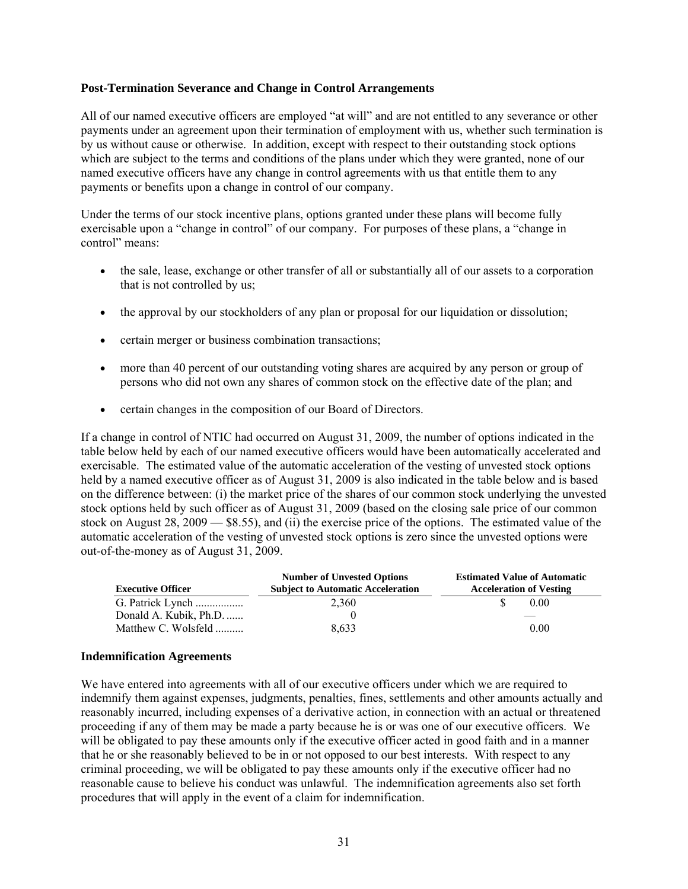#### **Post-Termination Severance and Change in Control Arrangements**

All of our named executive officers are employed "at will" and are not entitled to any severance or other payments under an agreement upon their termination of employment with us, whether such termination is by us without cause or otherwise. In addition, except with respect to their outstanding stock options which are subject to the terms and conditions of the plans under which they were granted, none of our named executive officers have any change in control agreements with us that entitle them to any payments or benefits upon a change in control of our company.

Under the terms of our stock incentive plans, options granted under these plans will become fully exercisable upon a "change in control" of our company. For purposes of these plans, a "change in control" means:

- the sale, lease, exchange or other transfer of all or substantially all of our assets to a corporation that is not controlled by us;
- the approval by our stockholders of any plan or proposal for our liquidation or dissolution;
- certain merger or business combination transactions;
- more than 40 percent of our outstanding voting shares are acquired by any person or group of persons who did not own any shares of common stock on the effective date of the plan; and
- certain changes in the composition of our Board of Directors.

If a change in control of NTIC had occurred on August 31, 2009, the number of options indicated in the table below held by each of our named executive officers would have been automatically accelerated and exercisable. The estimated value of the automatic acceleration of the vesting of unvested stock options held by a named executive officer as of August 31, 2009 is also indicated in the table below and is based on the difference between: (i) the market price of the shares of our common stock underlying the unvested stock options held by such officer as of August 31, 2009 (based on the closing sale price of our common stock on August 28, 2009 — \$8.55), and (ii) the exercise price of the options. The estimated value of the automatic acceleration of the vesting of unvested stock options is zero since the unvested options were out-of-the-money as of August 31, 2009.

|                          | <b>Number of Unvested Options</b>        | <b>Estimated Value of Automatic</b> |  |  |  |
|--------------------------|------------------------------------------|-------------------------------------|--|--|--|
| <b>Executive Officer</b> | <b>Subject to Automatic Acceleration</b> | <b>Acceleration of Vesting</b>      |  |  |  |
| G. Patrick Lynch         | 2.360                                    | 0.00                                |  |  |  |
| Donald A. Kubik, Ph.D.   |                                          |                                     |  |  |  |
| Matthew C. Wolsfeld      | 8.633                                    | 0.00                                |  |  |  |

## **Indemnification Agreements**

We have entered into agreements with all of our executive officers under which we are required to indemnify them against expenses, judgments, penalties, fines, settlements and other amounts actually and reasonably incurred, including expenses of a derivative action, in connection with an actual or threatened proceeding if any of them may be made a party because he is or was one of our executive officers. We will be obligated to pay these amounts only if the executive officer acted in good faith and in a manner that he or she reasonably believed to be in or not opposed to our best interests. With respect to any criminal proceeding, we will be obligated to pay these amounts only if the executive officer had no reasonable cause to believe his conduct was unlawful. The indemnification agreements also set forth procedures that will apply in the event of a claim for indemnification.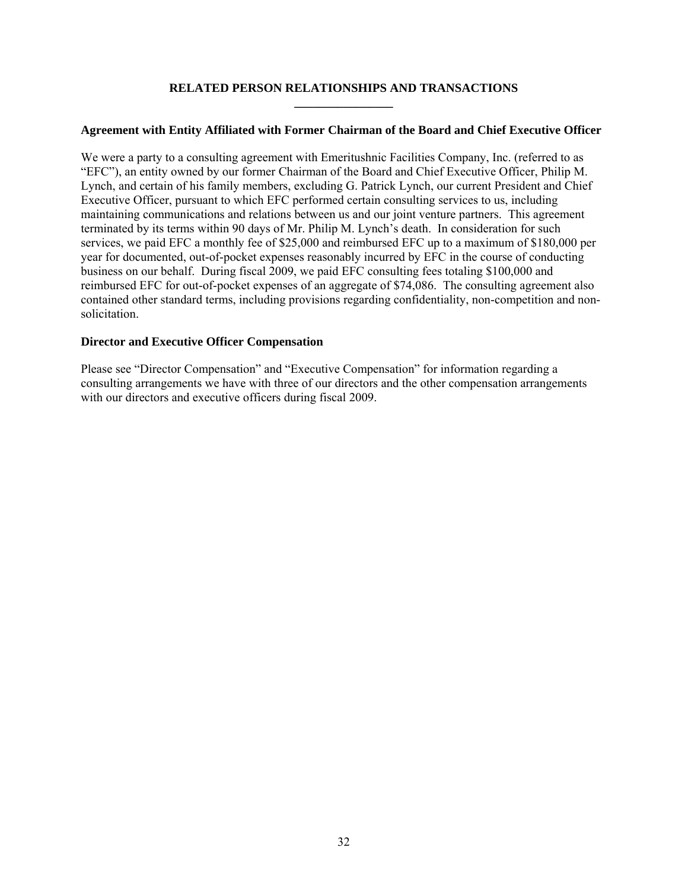### **RELATED PERSON RELATIONSHIPS AND TRANSACTIONS \_\_\_\_\_\_\_\_\_\_\_\_\_\_\_\_**

## **Agreement with Entity Affiliated with Former Chairman of the Board and Chief Executive Officer**

We were a party to a consulting agreement with Emeritushnic Facilities Company, Inc. (referred to as "EFC"), an entity owned by our former Chairman of the Board and Chief Executive Officer, Philip M. Lynch, and certain of his family members, excluding G. Patrick Lynch, our current President and Chief Executive Officer, pursuant to which EFC performed certain consulting services to us, including maintaining communications and relations between us and our joint venture partners. This agreement terminated by its terms within 90 days of Mr. Philip M. Lynch's death. In consideration for such services, we paid EFC a monthly fee of \$25,000 and reimbursed EFC up to a maximum of \$180,000 per year for documented, out-of-pocket expenses reasonably incurred by EFC in the course of conducting business on our behalf. During fiscal 2009, we paid EFC consulting fees totaling \$100,000 and reimbursed EFC for out-of-pocket expenses of an aggregate of \$74,086. The consulting agreement also contained other standard terms, including provisions regarding confidentiality, non-competition and nonsolicitation.

## **Director and Executive Officer Compensation**

Please see "Director Compensation" and "Executive Compensation" for information regarding a consulting arrangements we have with three of our directors and the other compensation arrangements with our directors and executive officers during fiscal 2009.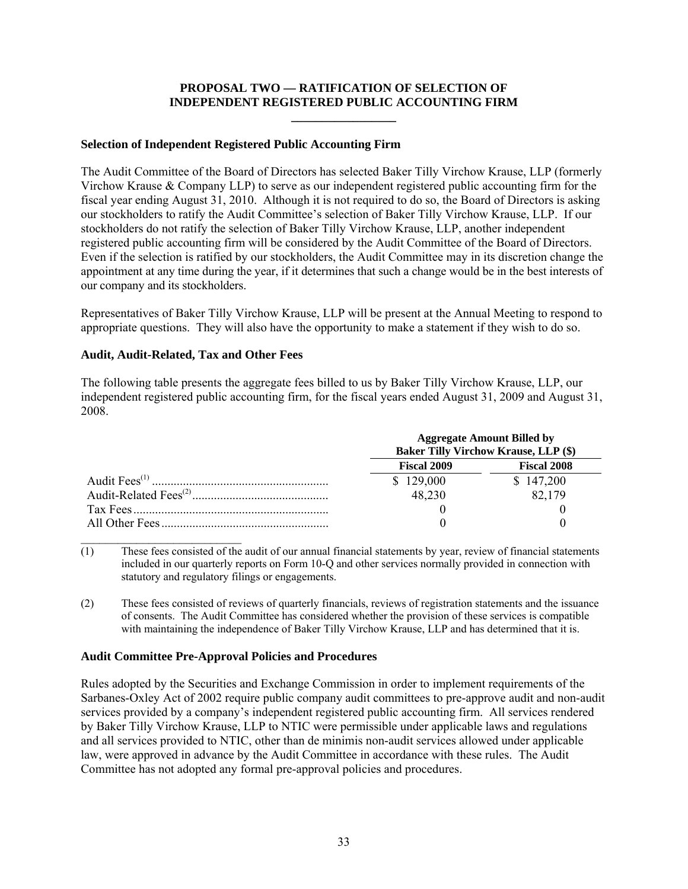## **PROPOSAL TWO — RATIFICATION OF SELECTION OF INDEPENDENT REGISTERED PUBLIC ACCOUNTING FIRM \_\_\_\_\_\_\_\_\_\_\_\_\_\_\_\_\_**

### **Selection of Independent Registered Public Accounting Firm**

The Audit Committee of the Board of Directors has selected Baker Tilly Virchow Krause, LLP (formerly Virchow Krause & Company LLP) to serve as our independent registered public accounting firm for the fiscal year ending August 31, 2010. Although it is not required to do so, the Board of Directors is asking our stockholders to ratify the Audit Committee's selection of Baker Tilly Virchow Krause, LLP. If our stockholders do not ratify the selection of Baker Tilly Virchow Krause, LLP, another independent registered public accounting firm will be considered by the Audit Committee of the Board of Directors. Even if the selection is ratified by our stockholders, the Audit Committee may in its discretion change the appointment at any time during the year, if it determines that such a change would be in the best interests of our company and its stockholders.

Representatives of Baker Tilly Virchow Krause, LLP will be present at the Annual Meeting to respond to appropriate questions. They will also have the opportunity to make a statement if they wish to do so.

## **Audit, Audit-Related, Tax and Other Fees**

The following table presents the aggregate fees billed to us by Baker Tilly Virchow Krause, LLP, our independent registered public accounting firm, for the fiscal years ended August 31, 2009 and August 31, 2008.

| <b>Aggregate Amount Billed by</b><br><b>Baker Tilly Virchow Krause, LLP (\$)</b> |           |  |  |
|----------------------------------------------------------------------------------|-----------|--|--|
| <b>Fiscal 2009</b><br><b>Fiscal 2008</b>                                         |           |  |  |
| \$129,000                                                                        | \$147,200 |  |  |
| 48,230                                                                           | 82,179    |  |  |
|                                                                                  |           |  |  |
|                                                                                  |           |  |  |
|                                                                                  |           |  |  |

 $(1)$  These fees consisted of the audit of our annual financial statements by year, review of financial statements included in our quarterly reports on Form 10-Q and other services normally provided in connection with statutory and regulatory filings or engagements.

(2) These fees consisted of reviews of quarterly financials, reviews of registration statements and the issuance of consents. The Audit Committee has considered whether the provision of these services is compatible with maintaining the independence of Baker Tilly Virchow Krause, LLP and has determined that it is.

## **Audit Committee Pre-Approval Policies and Procedures**

Rules adopted by the Securities and Exchange Commission in order to implement requirements of the Sarbanes-Oxley Act of 2002 require public company audit committees to pre-approve audit and non-audit services provided by a company's independent registered public accounting firm. All services rendered by Baker Tilly Virchow Krause, LLP to NTIC were permissible under applicable laws and regulations and all services provided to NTIC, other than de minimis non-audit services allowed under applicable law, were approved in advance by the Audit Committee in accordance with these rules. The Audit Committee has not adopted any formal pre-approval policies and procedures.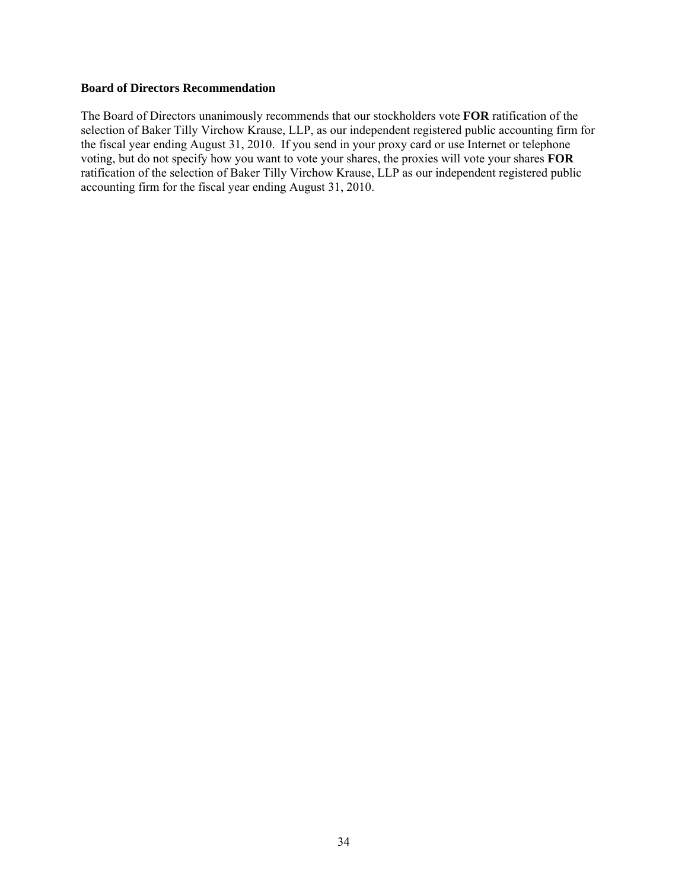#### **Board of Directors Recommendation**

The Board of Directors unanimously recommends that our stockholders vote **FOR** ratification of the selection of Baker Tilly Virchow Krause, LLP, as our independent registered public accounting firm for the fiscal year ending August 31, 2010. If you send in your proxy card or use Internet or telephone voting, but do not specify how you want to vote your shares, the proxies will vote your shares **FOR** ratification of the selection of Baker Tilly Virchow Krause, LLP as our independent registered public accounting firm for the fiscal year ending August 31, 2010.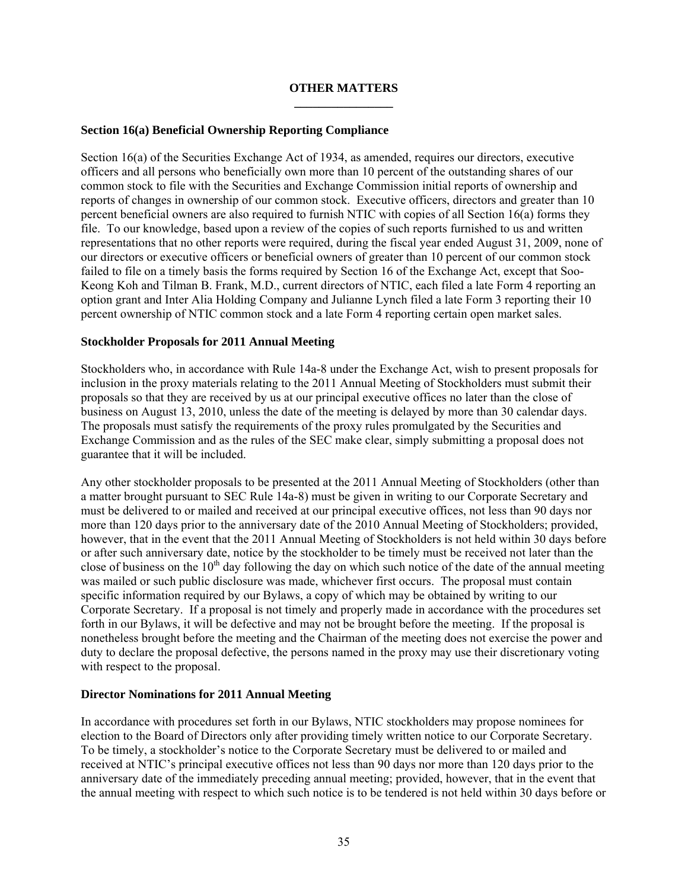## **OTHER MATTERS \_\_\_\_\_\_\_\_\_\_\_\_\_\_\_\_**

## **Section 16(a) Beneficial Ownership Reporting Compliance**

Section 16(a) of the Securities Exchange Act of 1934, as amended, requires our directors, executive officers and all persons who beneficially own more than 10 percent of the outstanding shares of our common stock to file with the Securities and Exchange Commission initial reports of ownership and reports of changes in ownership of our common stock. Executive officers, directors and greater than 10 percent beneficial owners are also required to furnish NTIC with copies of all Section 16(a) forms they file. To our knowledge, based upon a review of the copies of such reports furnished to us and written representations that no other reports were required, during the fiscal year ended August 31, 2009, none of our directors or executive officers or beneficial owners of greater than 10 percent of our common stock failed to file on a timely basis the forms required by Section 16 of the Exchange Act, except that Soo-Keong Koh and Tilman B. Frank, M.D., current directors of NTIC, each filed a late Form 4 reporting an option grant and Inter Alia Holding Company and Julianne Lynch filed a late Form 3 reporting their 10 percent ownership of NTIC common stock and a late Form 4 reporting certain open market sales.

## **Stockholder Proposals for 2011 Annual Meeting**

Stockholders who, in accordance with Rule 14a-8 under the Exchange Act, wish to present proposals for inclusion in the proxy materials relating to the 2011 Annual Meeting of Stockholders must submit their proposals so that they are received by us at our principal executive offices no later than the close of business on August 13, 2010, unless the date of the meeting is delayed by more than 30 calendar days. The proposals must satisfy the requirements of the proxy rules promulgated by the Securities and Exchange Commission and as the rules of the SEC make clear, simply submitting a proposal does not guarantee that it will be included.

Any other stockholder proposals to be presented at the 2011 Annual Meeting of Stockholders (other than a matter brought pursuant to SEC Rule 14a-8) must be given in writing to our Corporate Secretary and must be delivered to or mailed and received at our principal executive offices, not less than 90 days nor more than 120 days prior to the anniversary date of the 2010 Annual Meeting of Stockholders; provided, however, that in the event that the 2011 Annual Meeting of Stockholders is not held within 30 days before or after such anniversary date, notice by the stockholder to be timely must be received not later than the close of business on the  $10<sup>th</sup>$  day following the day on which such notice of the date of the annual meeting was mailed or such public disclosure was made, whichever first occurs. The proposal must contain specific information required by our Bylaws, a copy of which may be obtained by writing to our Corporate Secretary. If a proposal is not timely and properly made in accordance with the procedures set forth in our Bylaws, it will be defective and may not be brought before the meeting. If the proposal is nonetheless brought before the meeting and the Chairman of the meeting does not exercise the power and duty to declare the proposal defective, the persons named in the proxy may use their discretionary voting with respect to the proposal.

## **Director Nominations for 2011 Annual Meeting**

In accordance with procedures set forth in our Bylaws, NTIC stockholders may propose nominees for election to the Board of Directors only after providing timely written notice to our Corporate Secretary. To be timely, a stockholder's notice to the Corporate Secretary must be delivered to or mailed and received at NTIC's principal executive offices not less than 90 days nor more than 120 days prior to the anniversary date of the immediately preceding annual meeting; provided, however, that in the event that the annual meeting with respect to which such notice is to be tendered is not held within 30 days before or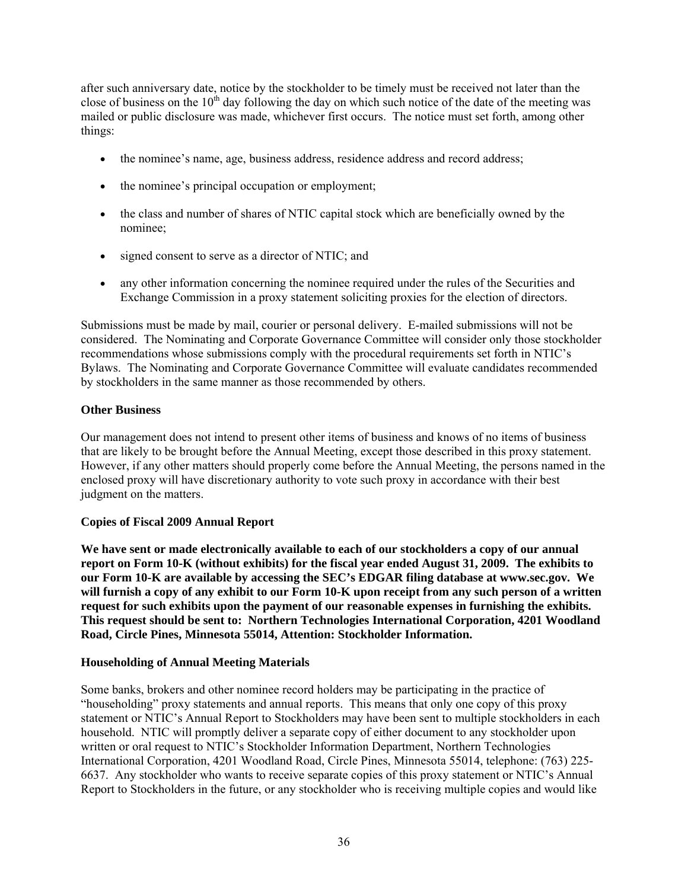after such anniversary date, notice by the stockholder to be timely must be received not later than the close of business on the  $10<sup>th</sup>$  day following the day on which such notice of the date of the meeting was mailed or public disclosure was made, whichever first occurs. The notice must set forth, among other things:

- the nominee's name, age, business address, residence address and record address;
- the nominee's principal occupation or employment;
- the class and number of shares of NTIC capital stock which are beneficially owned by the nominee;
- signed consent to serve as a director of NTIC; and
- any other information concerning the nominee required under the rules of the Securities and Exchange Commission in a proxy statement soliciting proxies for the election of directors.

Submissions must be made by mail, courier or personal delivery. E-mailed submissions will not be considered. The Nominating and Corporate Governance Committee will consider only those stockholder recommendations whose submissions comply with the procedural requirements set forth in NTIC's Bylaws. The Nominating and Corporate Governance Committee will evaluate candidates recommended by stockholders in the same manner as those recommended by others.

## **Other Business**

Our management does not intend to present other items of business and knows of no items of business that are likely to be brought before the Annual Meeting, except those described in this proxy statement. However, if any other matters should properly come before the Annual Meeting, the persons named in the enclosed proxy will have discretionary authority to vote such proxy in accordance with their best judgment on the matters.

## **Copies of Fiscal 2009 Annual Report**

**We have sent or made electronically available to each of our stockholders a copy of our annual report on Form 10-K (without exhibits) for the fiscal year ended August 31, 2009. The exhibits to our Form 10-K are available by accessing the SEC's EDGAR filing database at www.sec.gov. We will furnish a copy of any exhibit to our Form 10-K upon receipt from any such person of a written request for such exhibits upon the payment of our reasonable expenses in furnishing the exhibits. This request should be sent to: Northern Technologies International Corporation, 4201 Woodland Road, Circle Pines, Minnesota 55014, Attention: Stockholder Information.** 

## **Householding of Annual Meeting Materials**

Some banks, brokers and other nominee record holders may be participating in the practice of "householding" proxy statements and annual reports. This means that only one copy of this proxy statement or NTIC's Annual Report to Stockholders may have been sent to multiple stockholders in each household. NTIC will promptly deliver a separate copy of either document to any stockholder upon written or oral request to NTIC's Stockholder Information Department, Northern Technologies International Corporation, 4201 Woodland Road, Circle Pines, Minnesota 55014, telephone: (763) 225- 6637. Any stockholder who wants to receive separate copies of this proxy statement or NTIC's Annual Report to Stockholders in the future, or any stockholder who is receiving multiple copies and would like